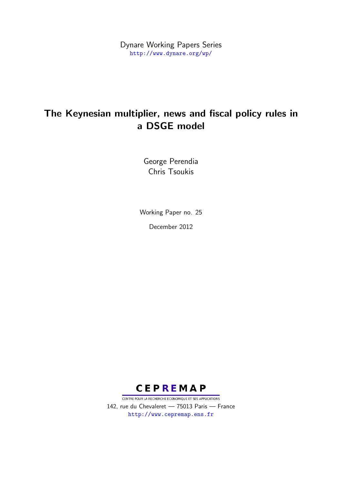Dynare Working Papers Series <http://www.dynare.org/wp/>

# The Keynesian multiplier, news and fiscal policy rules in a DSGE model

George Perendia Chris Tsoukis

Working Paper no. 25 December 2012



CENTRE POUR LA RECHERCHE ECONOMIQUE ET SES APPLICATIONS 142, rue du Chevaleret — 75013 Paris — France <http://www.cepremap.ens.fr>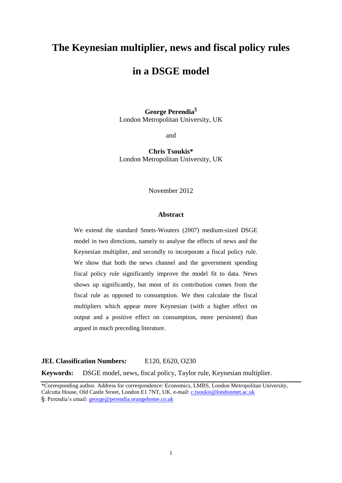## **The Keynesian multiplier, news and fiscal policy rules**

## **in a DSGE model**

**George Perendia**§ London Metropolitan University, UK

and

**Chris Tsoukis\*** London Metropolitan University, UK

November 2012

#### **Abstract**

We extend the standard Smets-Wouters (2007) medium-sized DSGE model in two directions, namely to analyse the effects of news and the Keynesian multiplier, and secondly to incorporate a fiscal policy rule. We show that both the news channel and the government spending fiscal policy rule significantly improve the model fit to data. News shows up significantly, but most of its contribution comes from the fiscal rule as opposed to consumption. We then calculate the fiscal multipliers which appear more Keynesian (with a higher effect on output and a positive effect on consumption, more persistent) than argued in much preceding literature.

#### **JEL Classification Numbers:** E120, E620, O230

**Keywords:** DSGE model, news, fiscal policy, Taylor rule, Keynesian multiplier.

\*Corresponding author. Address for correspondence: Economics, LMBS, London Metropolitan University, Calcutta House, Old Castle Street, London E1 7NT, UK. e-mail: [c.tsoukis@londonmet.ac.uk](mailto:c.tsoukis@londonmet.ac.uk) §: Perendia's email: [george@perendia.orangehome.co.uk](mailto:george@perendia.orangehome.co.uk)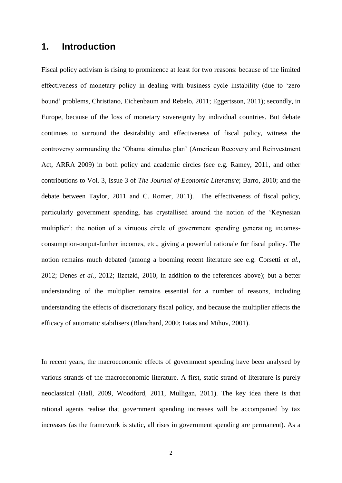### **1. Introduction**

Fiscal policy activism is rising to prominence at least for two reasons: because of the limited effectiveness of monetary policy in dealing with business cycle instability (due to 'zero bound' problems, Christiano, Eichenbaum and Rebelo, 2011; Eggertsson, 2011); secondly, in Europe, because of the loss of monetary sovereignty by individual countries. But debate continues to surround the desirability and effectiveness of fiscal policy, witness the controversy surrounding the 'Obama stimulus plan' (American Recovery and Reinvestment Act, ARRA 2009) in both policy and academic circles (see e.g. Ramey, 2011, and other contributions to Vol. 3, Issue 3 of *The Journal of Economic Literature*; Barro, 2010; and the debate between Taylor, 2011 and C. Romer, 2011). The effectiveness of fiscal policy, particularly government spending, has crystallised around the notion of the 'Keynesian multiplier': the notion of a virtuous circle of government spending generating incomesconsumption-output-further incomes, etc., giving a powerful rationale for fiscal policy. The notion remains much debated (among a booming recent literature see e.g. Corsetti *et al.*, 2012; Denes *et al.*, 2012; Ilzetzki, 2010, in addition to the references above); but a better understanding of the multiplier remains essential for a number of reasons, including understanding the effects of discretionary fiscal policy, and because the multiplier affects the efficacy of automatic stabilisers (Blanchard, 2000; Fatas and Mihov, 2001).

In recent years, the macroeconomic effects of government spending have been analysed by various strands of the macroeconomic literature. A first, static strand of literature is purely neoclassical (Hall, 2009, Woodford, 2011, Mulligan, 2011). The key idea there is that rational agents realise that government spending increases will be accompanied by tax increases (as the framework is static, all rises in government spending are permanent). As a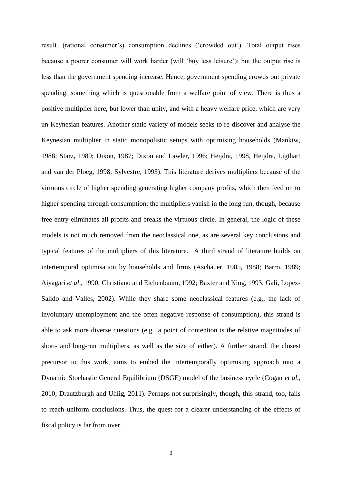result, (rational consumer's) consumption declines ('crowded out'). Total output rises because a poorer consumer will work harder (will 'buy less leisure'); but the output rise is less than the government spending increase. Hence, government spending crowds out private spending, something which is questionable from a welfare point of view. There is thus a positive multiplier here, but lower than unity, and with a heavy welfare price, which are very un-Keynesian features. Another static variety of models seeks to re-discover and analyse the Keynesian multiplier in static monopolistic setups with optimising households (Mankiw, 1988; Starz, 1989; Dixon, 1987; Dixon and Lawler, 1996; Heijdra, 1998, Heijdra, Ligthart and van der Ploeg, 1998; Sylvestre, 1993). This literature derives multipliers because of the virtuous circle of higher spending generating higher company profits, which then feed on to higher spending through consumption; the multipliers vanish in the long run, though, because free entry eliminates all profits and breaks the virtuous circle. In general, the logic of these models is not much removed from the neoclassical one, as are several key conclusions and typical features of the multipliers of this literature. A third strand of literature builds on intertemporal optimisation by households and firms (Aschauer, 1985, 1988; Barro, 1989; Aiyagari *et al*., 1990; Christiano and Eichenbaum, 1992; Baxter and King, 1993; Gali, Lopez-Salido and Valles, 2002). While they share some neoclassical features (e.g., the lack of involuntary unemployment and the often negative response of consumption), this strand is able to ask more diverse questions (e.g., a point of contention is the relative magnitudes of short- and long-run multipliers, as well as the size of either). A further strand, the closest precursor to this work, aims to embed the intertemporally optimising approach into a Dynamic Stochastic General Equilibrium (DSGE) model of the business cycle (Cogan *et al.*, 2010; Drautzburgh and Uhlig, 2011). Perhaps not surprisingly, though, this strand, too, fails to reach uniform conclusions. Thus, the quest for a clearer understanding of the effects of fiscal policy is far from over.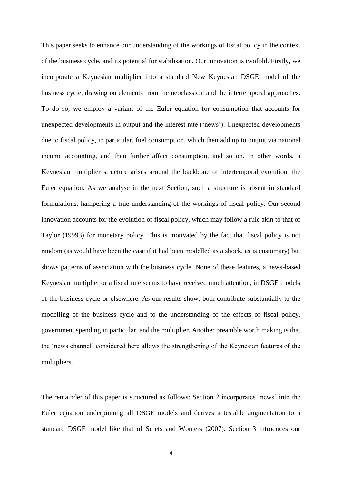This paper seeks to enhance our understanding of the workings of fiscal policy in the context of the business cycle, and its potential for stabilisation. Our innovation is twofold. Firstly, we incorporate a Keynesian multiplier into a standard New Keynesian DSGE model of the business cycle, drawing on elements from the neoclassical and the intertemporal approaches. To do so, we employ a variant of the Euler equation for consumption that accounts for unexpected developments in output and the interest rate ('news'). Unexpected developments due to fiscal policy, in particular, fuel consumption, which then add up to output via national income accounting, and then further affect consumption, and so on. In other words, a Keynesian multiplier structure arises around the backbone of intertemporal evolution, the Euler equation. As we analyse in the next Section, such a structure is absent in standard formulations, hampering a true understanding of the workings of fiscal policy. Our second innovation accounts for the evolution of fiscal policy, which may follow a rule akin to that of Taylor (19993) for monetary policy. This is motivated by the fact that fiscal policy is not random (as would have been the case if it had been modelled as a shock, as is customary) but shows patterns of association with the business cycle. None of these features, a news-based Keynesian multiplier or a fiscal rule seems to have received much attention, in DSGE models of the business cycle or elsewhere. As our results show, both contribute substantially to the modelling of the business cycle and to the understanding of the effects of fiscal policy, government spending in particular, and the multiplier. Another preamble worth making is that the 'news channel' considered here allows the strengthening of the Keynesian features of the multipliers.

The remainder of this paper is structured as follows: Section 2 incorporates 'news' into the Euler equation underpinning all DSGE models and derives a testable augmentation to a standard DSGE model like that of Smets and Wouters (2007). Section 3 introduces our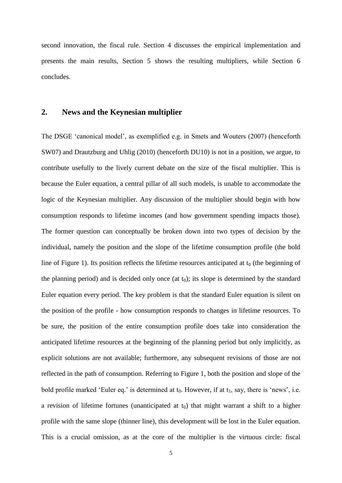second innovation, the fiscal rule. Section 4 discusses the empirical implementation and presents the main results, Section 5 shows the resulting multipliers, while Section 6 concludes.

#### **2. News and the Keynesian multiplier**

The DSGE 'canonical model', as exemplified e.g. in Smets and Wouters (2007) (henceforth SW07) and Drautzburg and Uhlig (2010) (henceforth DU10) is not in a position, we argue, to contribute usefully to the lively current debate on the size of the fiscal multiplier. This is because the Euler equation, a central pillar of all such models, is unable to accommodate the logic of the Keynesian multiplier. Any discussion of the multiplier should begin with how consumption responds to lifetime incomes (and how government spending impacts those). The former question can conceptually be broken down into two types of decision by the individual, namely the position and the slope of the lifetime consumption profile (the bold line of Figure 1). Its position reflects the lifetime resources anticipated at  $t_0$  (the beginning of the planning period) and is decided only once (at  $t_0$ ); its slope is determined by the standard Euler equation every period. The key problem is that the standard Euler equation is silent on the position of the profile - how consumption responds to changes in lifetime resources. To be sure, the position of the entire consumption profile does take into consideration the anticipated lifetime resources at the beginning of the planning period but only implicitly, as explicit solutions are not available; furthermore, any subsequent revisions of those are not reflected in the path of consumption. Referring to Figure 1, both the position and slope of the bold profile marked 'Euler eq.' is determined at  $t_0$ . However, if at  $t_1$ , say, there is 'news', i.e. a revision of lifetime fortunes (unanticipated at  $t_0$ ) that might warrant a shift to a higher profile with the same slope (thinner line), this development will be lost in the Euler equation. This is a crucial omission, as at the core of the multiplier is the virtuous circle: fiscal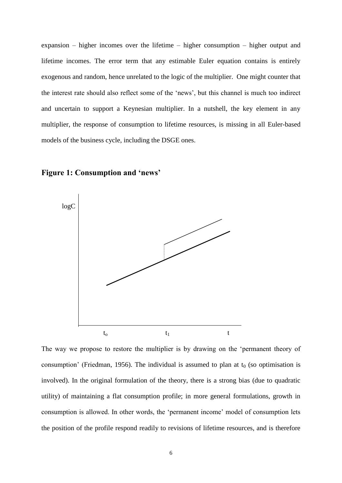expansion – higher incomes over the lifetime – higher consumption – higher output and lifetime incomes. The error term that any estimable Euler equation contains is entirely exogenous and random, hence unrelated to the logic of the multiplier. One might counter that the interest rate should also reflect some of the 'news', but this channel is much too indirect and uncertain to support a Keynesian multiplier. In a nutshell, the key element in any multiplier, the response of consumption to lifetime resources, is missing in all Euler-based models of the business cycle, including the DSGE ones.

### **Figure 1: Consumption and 'news'**



The way we propose to restore the multiplier is by drawing on the 'permanent theory of consumption' (Friedman, 1956). The individual is assumed to plan at  $t_0$  (so optimisation is involved). In the original formulation of the theory, there is a strong bias (due to quadratic utility) of maintaining a flat consumption profile; in more general formulations, growth in consumption is allowed. In other words, the 'permanent income' model of consumption lets the position of the profile respond readily to revisions of lifetime resources, and is therefore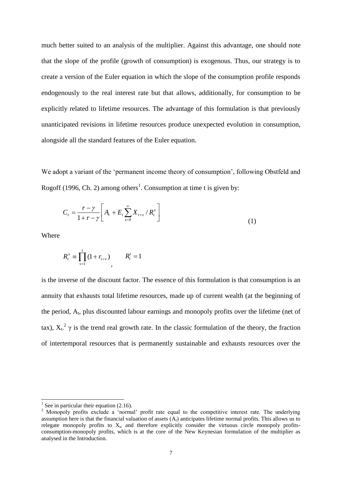much better suited to an analysis of the multiplier. Against this advantage, one should note that the slope of the profile (growth of consumption) is exogenous. Thus, our strategy is to create a version of the Euler equation in which the slope of the consumption profile responds endogenously to the real interest rate but that allows, additionally, for consumption to be explicitly related to lifetime resources. The advantage of this formulation is that previously unanticipated revisions in lifetime resources produce unexpected evolution in consumption, alongside all the standard features of the Euler equation.

We adopt a variant of the 'permanent income theory of consumption', following Obstfeld and Rogoff (1996, Ch. 2) among others<sup>1</sup>. Consumption at time t is given by:

$$
C_{t} = \frac{r - \gamma}{1 + r - \gamma} \left[ A_{t} + E_{t} \sum_{s=0}^{\infty} X_{t+s} / R_{t}^{s} \right]
$$
(1)

Where

1

$$
R_t^s \equiv \prod_{v=1}^s (1 + r_{t+v}) \qquad R_t^t = 1
$$

is the inverse of the discount factor. The essence of this formulation is that consumption is an annuity that exhausts total lifetime resources, made up of current wealth (at the beginning of the period, A<sub>t</sub>, plus discounted labour earnings and monopoly profits over the lifetime (net of tax),  $X_t$ <sup>2</sup>  $\gamma$  is the trend real growth rate. In the classic formulation of the theory, the fraction of intertemporal resources that is permanently sustainable and exhausts resources over the

<sup>1</sup> See in particular their equation  $(2.16)$ .

<sup>&</sup>lt;sup>2</sup> Monopoly profits exclude a 'normal' profit rate equal to the competitive interest rate. The underlying assumption here is that the financial valuation of assets  $(A_t)$  anticipates lifetime normal profits. This allows us to relegate monopoly profits to  $X_t$ , and therefore explicitly consider the virtuous circle monopoly profitsconsumption-monopoly profits, which is at the core of the New Keynesian formulation of the multiplier as analysed in the Introduction.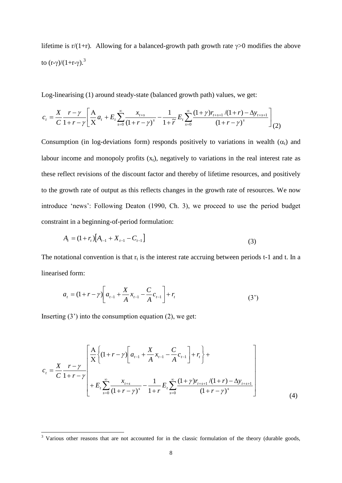lifetime is  $r/(1+r)$ . Allowing for a balanced-growth path growth rate  $\gamma > 0$  modifies the above to  $(r-\gamma)/(1+r-\gamma)$ .<sup>3</sup>

Log-linearising (1) around steady-state (balanced growth path) values, we get:

$$
c_{t} = \frac{X}{C} \frac{r - \gamma}{1 + r - \gamma} \left[ \frac{A}{X} a_{t} + E_{t} \sum_{s=0}^{\infty} \frac{x_{t+s}}{(1 + r - \gamma)^{s}} - \frac{1}{1 + \widetilde{r}} E_{t} \sum_{s=0}^{\infty} \frac{(1 + \gamma)r_{t+s+1}/(1 + r) - \Delta y_{t+s+1}}{(1 + r - \gamma)^{s}} \right]_{(2)}
$$

Consumption (in log-deviations form) responds positively to variations in wealth  $(\alpha_t)$  and labour income and monopoly profits  $(x<sub>t</sub>)$ , negatively to variations in the real interest rate as these reflect revisions of the discount factor and thereby of lifetime resources, and positively to the growth rate of output as this reflects changes in the growth rate of resources. We now introduce 'news': Following Deaton (1990, Ch. 3), we proceed to use the period budget constraint in a beginning-of-period formulation:

$$
A_{t} = (1 + r_{t})\left[A_{t-1} + X_{t-1} - C_{t-1}\right]
$$
\n(3)

The notational convention is that  $r_t$  is the interest rate accruing between periods t-1 and t. In a linearised form:

$$
a_{t} = (1 + r - \gamma) \left[ a_{t-1} + \frac{X}{A} x_{t-1} - \frac{C}{A} c_{t-1} \right] + r_{t}
$$
\n(3')

Inserting  $(3')$  into the consumption equation  $(2)$ , we get:

 $\overline{a}$ 

$$
c_{t} = \frac{X}{C} \frac{r - \gamma}{1 + r - \gamma} \left[ \frac{A}{X} \left\{ (1 + r - \gamma) \left[ a_{t-1} + \frac{X}{A} x_{t-1} - \frac{C}{A} c_{t-1} \right] + r_{t} \right\} + \frac{X}{A} \sum_{s=0}^{\infty} \frac{r - \gamma}{(1 + r - \gamma)^{s}} - \frac{1}{1 + r} E_{t} \sum_{s=0}^{\infty} \frac{(1 + \gamma) r_{t+s+1} / (1 + r) - \Delta y_{t+s+1}}{(1 + r - \gamma)^{s}} \right] \tag{4}
$$

 $3$  Various other reasons that are not accounted for in the classic formulation of the theory (durable goods,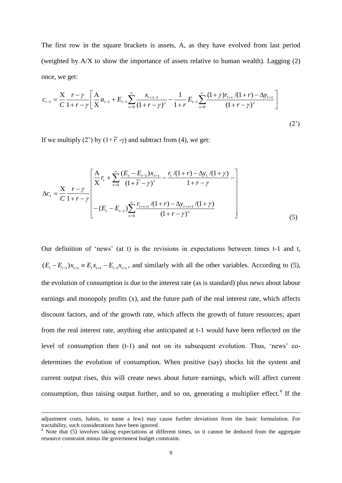The first row in the square brackets is assets, A, as they have evolved from last period (weighted by  $A/X$  to show the importance of assets relative to human wealth). Lagging (2) once, we get:

$$
c_{t-1} = \frac{X}{C} \frac{r - \gamma}{1 + r - \gamma} \left[ \frac{A}{X} a_{t-1} + E_{t-1} \sum_{s=0}^{\infty} \frac{x_{t+s-1}}{(1 + r - \gamma)^s} - \frac{1}{1 + r} E_{t-1} \sum_{s=0}^{\infty} \frac{(1 + \gamma) r_{t+s}}{(1 + r - \gamma)^s} \right]
$$
(2')

If we multiply (2<sup>'</sup>) by  $(1+\tilde{r} - \gamma)$  and subtract from (4), we get:

$$
\Delta c_{t} = \frac{X}{C} \frac{r - \gamma}{1 + r - \gamma} \left[ \frac{A}{X} r_{t} + \sum_{s=0}^{\infty} \frac{(E_{t} - E_{t-1})x_{t+s}}{(1 + \tilde{r} - \gamma)^{s}} - \frac{r_{t}/(1 + r) - \Delta y_{t}/(1 + \gamma)}{1 + r - \gamma} - \frac{1}{2} \right]
$$
  
-(E\_{t} - E\_{t-1}) \sum\_{s=0}^{\infty} \frac{r\_{t+s+1}/(1 + r) - \Delta y\_{t+s+1}/(1 + \gamma)}{(1 + r - \gamma)^{s}} \qquad (5)

Our definition of 'news' (at t) is the revisions in expectations between times t-1 and t,  $(E_t - E_{t-1})x_{t+s} = E_t x_{t+s} - E_{t-1} x_{t+s}$ , and similarly with all the other variables. According to (5), the evolution of consumption is due to the interest rate (as is standard) plus news about labour earnings and monopoly profits (x), and the future path of the real interest rate, which affects discount factors, and of the growth rate, which affects the growth of future resources; apart from the real interest rate, anything else anticipated at t-1 would have been reflected on the level of consumption then (t-1) and not on its subsequent evolution. Thus, 'news' codetermines the evolution of consumption. When positive (say) shocks hit the system and current output rises, this will create news about future earnings, which will affect current consumption, thus raising output further, and so on, generating a multiplier effect.<sup>4</sup> If the

-

adjustment costs, habits, to name a few) may cause further deviations from the basic formulation. For tractability, such considerations have been ignored.

<sup>&</sup>lt;sup>4</sup> Note that (5) involves taking expectations at different times, so it cannot be deduced from the aggregate resource constraint minus the government budget constraint.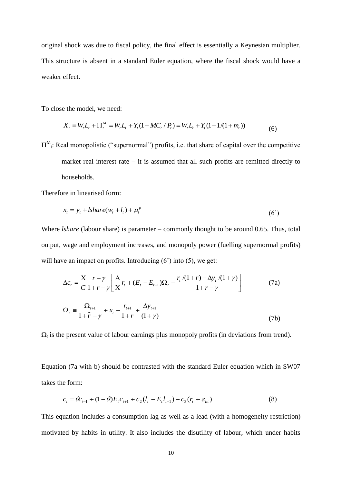original shock was due to fiscal policy, the final effect is essentially a Keynesian multiplier. This structure is absent in a standard Euler equation, where the fiscal shock would have a weaker effect.

To close the model, we need:

$$
X_t \equiv W_t L_t + \Pi_t^M = W_t L_t + Y_t (1 - MC_t / P_t) = W_t L_t + Y_t (1 - 1/(1 + m_t))
$$
\n<sup>(6)</sup>

 $\Pi_{t}^{M}$ : Real monopolistic ("supernormal") profits, i.e. that share of capital over the competitive market real interest rate – it is assumed that all such profits are remitted directly to households.

Therefore in linearised form:

$$
x_t = y_t + \text{lshare}(w_t + l_t) + \mu_t^p \tag{6'}
$$

Where *lshare* (labour share) is parameter – commonly thought to be around 0.65. Thus, total output, wage and employment increases, and monopoly power (fuelling supernormal profits) will have an impact on profits. Introducing  $(6')$  into  $(5)$ , we get:

$$
\Delta c_{t} = \frac{X}{C} \frac{r - \gamma}{1 + r - \gamma} \left[ \frac{A}{X} r_{t} + (E_{t} - E_{t-1}) \Omega_{t} - \frac{r_{t} / (1 + r) - \Delta y_{t} / (1 + \gamma)}{1 + r - \gamma} \right]
$$
(7a)  

$$
\Omega = \frac{\Omega_{t+1}}{\sqrt{1 + \frac{1}{1 + r - \gamma}} \Delta y_{t+1}}
$$

$$
\Omega_{t} \equiv \frac{\Delta z_{t+1}}{1 + \widetilde{r} - \gamma} + x_{t} - \frac{r_{t+1}}{1 + r} + \frac{\Delta y_{t+1}}{(1 + \gamma)}
$$
(7b)

 $\Omega_t$  is the present value of labour earnings plus monopoly profits (in deviations from trend).

Equation (7a with b) should be contrasted with the standard Euler equation which in SW07 takes the form:

$$
c_{t} = \theta c_{t-1} + (1 - \theta) E_{t} c_{t+1} + c_{2} (l_{t} - E_{t} l_{t+1}) - c_{3} (r_{t} + \varepsilon_{bt})
$$
\n(8)

This equation includes a consumption lag as well as a lead (with a homogeneity restriction) motivated by habits in utility. It also includes the disutility of labour, which under habits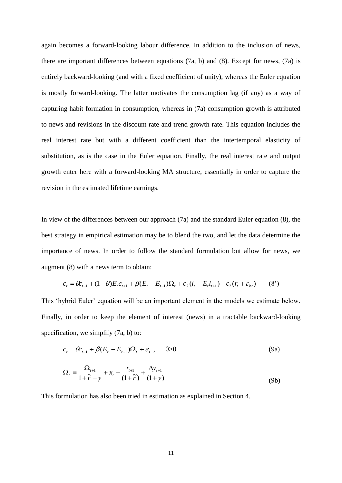again becomes a forward-looking labour difference. In addition to the inclusion of news, there are important differences between equations (7a, b) and (8). Except for news, (7a) is entirely backward-looking (and with a fixed coefficient of unity), whereas the Euler equation is mostly forward-looking. The latter motivates the consumption lag (if any) as a way of capturing habit formation in consumption, whereas in (7a) consumption growth is attributed to news and revisions in the discount rate and trend growth rate. This equation includes the real interest rate but with a different coefficient than the intertemporal elasticity of substitution, as is the case in the Euler equation. Finally, the real interest rate and output growth enter here with a forward-looking MA structure, essentially in order to capture the revision in the estimated lifetime earnings.

In view of the differences between our approach (7a) and the standard Euler equation (8), the best strategy in empirical estimation may be to blend the two, and let the data determine the importance of news. In order to follow the standard formulation but allow for news, we augment (8) with a news term to obtain:

$$
c_{t} = \theta c_{t-1} + (1 - \theta) E_{t} c_{t+1} + \beta (E_{t} - E_{t-1}) \Omega_{t} + c_{2} (l_{t} - E_{t} l_{t+1}) - c_{3} (r_{t} + \varepsilon_{bt})
$$
 (8')

This 'hybrid Euler' equation will be an important element in the models we estimate below. Finally, in order to keep the element of interest (news) in a tractable backward-looking specification, we simplify  $(7a, b)$  to:

$$
c_t = \theta c_{t-1} + \beta (E_t - E_{t-1}) \Omega_t + \varepsilon_t , \qquad \theta > 0 \tag{9a}
$$

$$
\Omega_{t} \equiv \frac{\Omega_{t+1}}{1+\widetilde{r}-\gamma} + x_{t} - \frac{r_{t+1}}{(1+\widetilde{r})} + \frac{\Delta y_{t+1}}{(1+\gamma)}
$$
(9b)

This formulation has also been tried in estimation as explained in Section 4.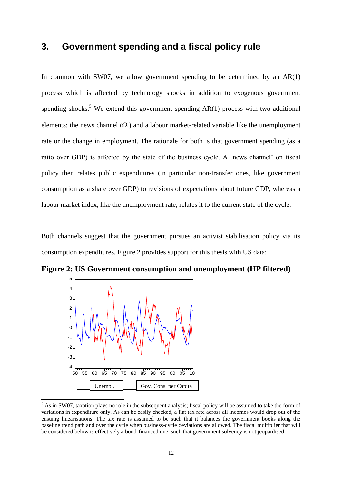### **3. Government spending and a fiscal policy rule**

In common with SW07, we allow government spending to be determined by an  $AR(1)$ process which is affected by technology shocks in addition to exogenous government spending shocks.<sup>5</sup> We extend this government spending  $AR(1)$  process with two additional elements: the news channel  $(\Omega_t)$  and a labour market-related variable like the unemployment rate or the change in employment. The rationale for both is that government spending (as a ratio over GDP) is affected by the state of the business cycle. A 'news channel' on fiscal policy then relates public expenditures (in particular non-transfer ones, like government consumption as a share over GDP) to revisions of expectations about future GDP, whereas a labour market index, like the unemployment rate, relates it to the current state of the cycle.

Both channels suggest that the government pursues an activist stabilisation policy via its consumption expenditures. Figure 2 provides support for this thesis with US data:



1

**Figure 2: US Government consumption and unemployment (HP filtered)**

 $<sup>5</sup>$  As in SW07, taxation plays no role in the subsequent analysis; fiscal policy will be assumed to take the form of</sup> variations in expenditure only. As can be easily checked, a flat tax rate across all incomes would drop out of the ensuing linearisations. The tax rate is assumed to be such that it balances the government books along the baseline trend path and over the cycle when business-cycle deviations are allowed. The fiscal multiplier that will be considered below is effectively a bond-financed one, such that government solvency is not jeopardised.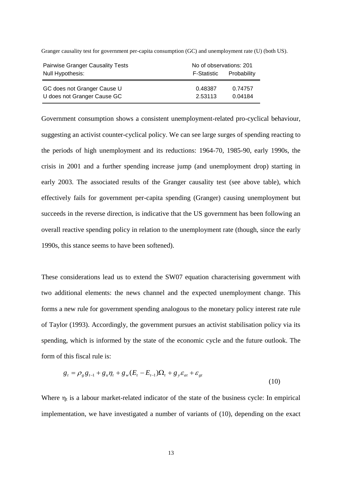| <b>Pairwise Granger Causality Tests</b>                    | No of observations: 201 |                    |  |  |
|------------------------------------------------------------|-------------------------|--------------------|--|--|
| Null Hypothesis:                                           | F-Statistic             | Probability        |  |  |
| GC does not Granger Cause U<br>U does not Granger Cause GC | 0.48387<br>2.53113      | 0.74757<br>0.04184 |  |  |

Granger causality test for government per-capita consumption (GC) and unemployment rate (U) (both US).

Government consumption shows a consistent unemployment-related pro-cyclical behaviour, suggesting an activist counter-cyclical policy. We can see large surges of spending reacting to the periods of high unemployment and its reductions: 1964-70, 1985-90, early 1990s, the crisis in 2001 and a further spending increase jump (and unemployment drop) starting in early 2003. The associated results of the Granger causality test (see above table), which effectively fails for government per-capita spending (Granger) causing unemployment but succeeds in the reverse direction, is indicative that the US government has been following an overall reactive spending policy in relation to the unemployment rate (though, since the early 1990s, this stance seems to have been softened).

These considerations lead us to extend the SW07 equation characterising government with two additional elements: the news channel and the expected unemployment change. This forms a new rule for government spending analogous to the monetary policy interest rate rule of Taylor (1993). Accordingly, the government pursues an activist stabilisation policy via its spending, which is informed by the state of the economic cycle and the future outlook. The form of this fiscal rule is:

$$
g_{t} = \rho_{g} g_{t-1} + g_{u} \eta_{t} + g_{w} (E_{t} - E_{t-1}) \Omega_{t} + g_{y} \varepsilon_{at} + \varepsilon_{gt}
$$
\n(10)

Where  $\eta_t$  is a labour market-related indicator of the state of the business cycle: In empirical implementation, we have investigated a number of variants of (10), depending on the exact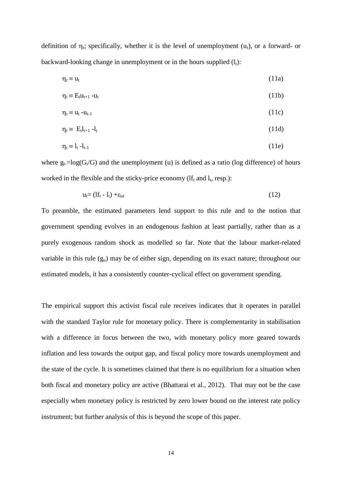definition of  $\eta_t$ ; specifically, whether it is the level of unemployment (u<sub>t</sub>), or a forward- or backward-looking change in unemployment or in the hours supplied  $(l_t)$ :

$$
\eta_t \equiv u_t \tag{11a}
$$

$$
\eta_t \equiv E_t u_{t+1} - u_t \tag{11b}
$$

$$
\eta_t \equiv u_t - u_{t-1} \tag{11c}
$$

$$
\eta_t \equiv E_t l_{t+1} - l_t \tag{11d}
$$

$$
\eta_t \equiv l_t - l_{t-1} \tag{11e}
$$

where  $g_t = log(G_t/G)$  and the unemployment (u) is defined as a ratio (log difference) of hours worked in the flexible and the sticky-price economy ( $If_t$  and  $I_t$ , resp.):

$$
u_t = (If_t - I_t) + \varepsilon_{ut} \tag{12}
$$

To preamble, the estimated parameters lend support to this rule and to the notion that government spending evolves in an endogenous fashion at least partially, rather than as a purely exogenous random shock as modelled so far. Note that the labour market-related variable in this rule  $(g_u)$  may be of either sign, depending on its exact nature; throughout our estimated models, it has a consistently counter-cyclical effect on government spending.

The empirical support this activist fiscal rule receives indicates that it operates in parallel with the standard Taylor rule for monetary policy. There is complementarity in stabilisation with a difference in focus between the two, with monetary policy more geared towards inflation and less towards the output gap, and fiscal policy more towards unemployment and the state of the cycle. It is sometimes claimed that there is no equilibrium for a situation when both fiscal and monetary policy are active (Bhattarai et al., 2012). That may not be the case especially when monetary policy is restricted by zero lower bound on the interest rate policy instrument; but further analysis of this is beyond the scope of this paper.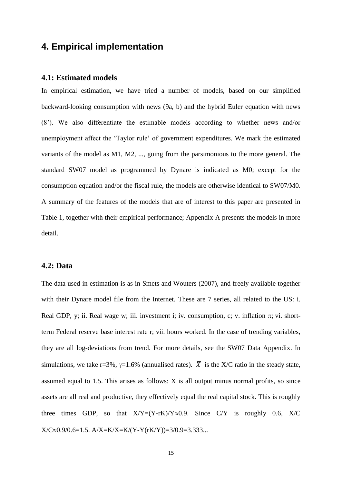### **4. Empirical implementation**

#### **4.1: Estimated models**

In empirical estimation, we have tried a number of models, based on our simplified backward-looking consumption with news (9a, b) and the hybrid Euler equation with news (8'). We also differentiate the estimable models according to whether news and/or unemployment affect the 'Taylor rule' of government expenditures. We mark the estimated variants of the model as M1, M2, ..., going from the parsimonious to the more general. The standard SW07 model as programmed by Dynare is indicated as M0; except for the consumption equation and/or the fiscal rule, the models are otherwise identical to SW07/M0. A summary of the features of the models that are of interest to this paper are presented in Table 1, together with their empirical performance; Appendix A presents the models in more detail.

#### **4.2: Data**

The data used in estimation is as in Smets and Wouters (2007), and freely available together with their Dynare model file from the Internet. These are 7 series, all related to the US: i. Real GDP, y; ii. Real wage w; iii. investment i; iv. consumption, c; v. inflation  $\pi$ ; vi. shortterm Federal reserve base interest rate r; vii. hours worked. In the case of trending variables, they are all log-deviations from trend. For more details, see the SW07 Data Appendix. In simulations, we take r=3%,  $\gamma$ =1.6% (annualised rates).  $\overline{X}$  is the X/C ratio in the steady state, assumed equal to 1.5. This arises as follows: X is all output minus normal profits, so since assets are all real and productive, they effectively equal the real capital stock. This is roughly three times GDP, so that  $X/Y=(Y-rK)/Y\approx 0.9$ . Since C/Y is roughly 0.6, X/C  $X/C \approx 0.9/0.6=1.5$ .  $A/X=K/X=K/(Y-Y(rK/Y))=3/0.9=3.333...$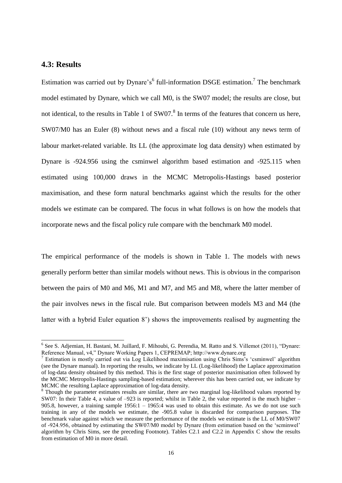#### **4.3: Results**

1

Estimation was carried out by Dynare's<sup>6</sup> full-information DSGE estimation.<sup>7</sup> The benchmark model estimated by Dynare, which we call M0, is the SW07 model; the results are close, but not identical, to the results in Table 1 of  $SW07$ .<sup>8</sup> In terms of the features that concern us here, SW07/M0 has an Euler (8) without news and a fiscal rule (10) without any news term of labour market-related variable. Its LL (the approximate log data density) when estimated by Dynare is -924.956 using the csminwel algorithm based estimation and -925.115 when estimated using 100,000 draws in the MCMC Metropolis-Hastings based posterior maximisation, and these form natural benchmarks against which the results for the other models we estimate can be compared. The focus in what follows is on how the models that incorporate news and the fiscal policy rule compare with the benchmark M0 model.

The empirical performance of the models is shown in Table 1. The models with news generally perform better than similar models without news. This is obvious in the comparison between the pairs of M0 and M6, M1 and M7, and M5 and M8, where the latter member of the pair involves news in the fiscal rule. But comparison between models M3 and M4 (the latter with a hybrid Euler equation 8') shows the improvements realised by augmenting the

<sup>&</sup>lt;sup>6</sup> See S. Adjemian, H. Bastani, M. Juillard, F. Mihoubi, G. Perendia, M. Ratto and S. Villemot (2011), "Dynare: Reference Manual, v4," Dynare Working Papers 1, CEPREMAP; http://www.dynare.org

<sup>&</sup>lt;sup>7</sup> Estimation is mostly carried out via Log Likelihood maximisation using Chris Sims's 'csminwel' algorithm (see the Dynare manual). In reporting the results, we indicate by LL (Log-likelihood) the Laplace approximation of log-data density obtained by this method. This is the first stage of posterior maximisation often followed by the MCMC Metropolis-Hastings sampling-based estimation; wherever this has been carried out, we indicate by MCMC the resulting Laplace approximation of log-data density.

<sup>&</sup>lt;sup>8</sup> Though the parameter estimates results are similar, there are two marginal log-likelihood values reported by SW07: In their Table 4, a value of –923 is reported; whilst in Table 2, the value reported is the much higher – 905.8, however, a training sample  $1956:1 - 1965:4$  was used to obtain this estimate. As we do not use such training in any of the models we estimate, the -905.8 value is discarded for comparison purposes. The benchmark value against which we measure the performance of the models we estimate is the LL of M0/SW07 of -924.956, obtained by estimating the SW07/M0 model by Dynare (from estimation based on the 'scminwel' algorithm by Chris Sims, see the preceding Footnote). Tables C2.1 and C2.2 in Appendix C show the results from estimation of M0 in more detail.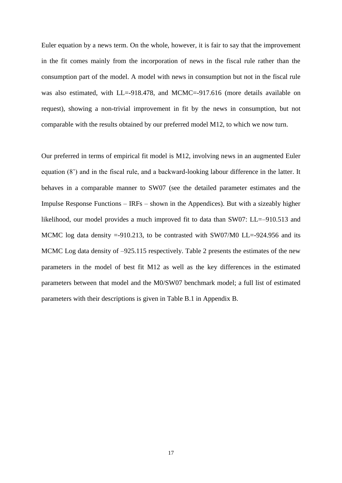Euler equation by a news term. On the whole, however, it is fair to say that the improvement in the fit comes mainly from the incorporation of news in the fiscal rule rather than the consumption part of the model. A model with news in consumption but not in the fiscal rule was also estimated, with LL=-918.478, and MCMC=-917.616 (more details available on request), showing a non-trivial improvement in fit by the news in consumption, but not comparable with the results obtained by our preferred model M12, to which we now turn.

Our preferred in terms of empirical fit model is M12, involving news in an augmented Euler equation (8') and in the fiscal rule, and a backward-looking labour difference in the latter. It behaves in a comparable manner to SW07 (see the detailed parameter estimates and the Impulse Response Functions – IRFs – shown in the Appendices). But with a sizeably higher likelihood, our model provides a much improved fit to data than SW07: LL=–910.513 and MCMC log data density  $=910.213$ , to be contrasted with SW07/M0 LL $=$ -924.956 and its MCMC Log data density of  $-925.115$  respectively. Table 2 presents the estimates of the new parameters in the model of best fit M12 as well as the key differences in the estimated parameters between that model and the M0/SW07 benchmark model; a full list of estimated parameters with their descriptions is given in Table B.1 in Appendix B.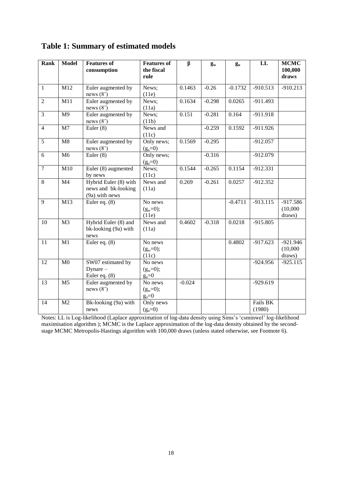| Rank           | <b>Model</b>     | <b>Features of</b><br>consumption                              | <b>Features of</b><br>the fiscal<br>rule | $\beta$  | $g_w$    | $g_{\rm u}$ | LL                 | <b>MCMC</b><br>100,000<br>draws  |
|----------------|------------------|----------------------------------------------------------------|------------------------------------------|----------|----------|-------------|--------------------|----------------------------------|
| $\mathbf{1}$   | M12              | Euler augmented by<br>news $(8')$                              | News;<br>(11e)                           | 0.1463   | $-0.26$  | $-0.1732$   | $-910.513$         | $-910.213$                       |
| $\overline{2}$ | $\overline{M11}$ | Euler augmented by<br>news $(8')$                              | News;<br>(11a)                           | 0.1634   | $-0.298$ | 0.0265      | $-911.493$         |                                  |
| $\overline{3}$ | M <sub>9</sub>   | Euler augmented by<br>news $(8')$                              | News;<br>(11b)                           | 0.151    | $-0.281$ | 0.164       | -911.918           |                                  |
| $\overline{4}$ | M <sub>7</sub>   | Euler $(8)$                                                    | News and<br>(11c)                        |          | $-0.259$ | 0.1592      | $-911.926$         |                                  |
| 5              | M8               | Euler augmented by<br>news $(8')$                              | Only news;<br>$(g_u=0)$                  | 0.1569   | $-0.295$ |             | $-912.057$         |                                  |
| 6              | M6               | Euler $(8)$                                                    | Only news;<br>$(g_u=0)$                  |          | $-0.316$ |             | $-912.079$         |                                  |
| $\overline{7}$ | M10              | Euler (8) augmented<br>by news                                 | News;<br>(11c)                           | 0.1544   | $-0.265$ | 0.1154      | $-912.331$         |                                  |
| 8              | M4               | Hybrid Euler (8) with<br>news and bk-looking<br>(9a) with news | News and<br>(11a)                        | 0.269    | $-0.261$ | 0.0257      | $-912.352$         |                                  |
| 9              | M13              | Euler eq. $(8)$                                                | No news<br>$(g_w=0);$<br>(11e)           |          |          | $-0.4711$   | $-913.115$         | $-917.586$<br>(10,000)<br>draws) |
| 10             | M <sub>3</sub>   | Hybrid Euler (8) and<br>bk-looking (9a) with<br>news           | News and<br>(11a)                        | 0.4602   | $-0.318$ | 0.0218      | $-915.805$         |                                  |
| 11             | M1               | Euler eq. (8)                                                  | No news<br>$(g_w=0);$<br>(11c)           |          |          | 0.4802      | $-917.623$         | $-921.946$<br>(10,000)<br>draws) |
| 12             | M <sub>0</sub>   | SW07 estimated by<br>$Dynamic -$<br>Euler eq. $(8)$            | No news<br>$(g_w=0);$<br>$g_u=0$         |          |          |             | $-924.956$         | $-925.115$                       |
| 13             | M <sub>5</sub>   | Euler augmented by<br>news $(8')$                              | No news<br>$(g_w=0);$<br>$g_u=0$         | $-0.024$ |          |             | $-929.619$         |                                  |
| 14             | M <sub>2</sub>   | Bk-looking (9a) with<br>news                                   | Only news<br>$(g_u=0)$                   |          |          |             | Fails BK<br>(1980) |                                  |

### **Table 1: Summary of estimated models**

Notes: LL is Log-likelihood (Laplace approximation of log-data density using Sims's 'csminwel' log-likelihood maximisation algorithm ); MCMC is the Laplace approximation of the log-data density obtained by the secondstage MCMC Metropolis-Hastings algorithm with 100,000 draws (unless stated otherwise, see Footnote 6).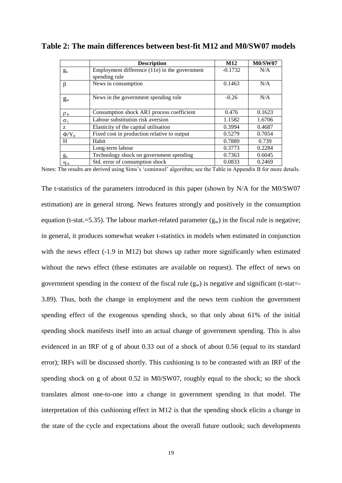|                | <b>Description</b>                                               | M <sub>12</sub> | <b>M0/SW07</b> |
|----------------|------------------------------------------------------------------|-----------------|----------------|
| $g_{u}$        | Employment difference $(11e)$ in the government<br>spending rule | $-0.1732$       | N/A            |
| β              | News in consumption                                              | 0.1463          | N/A            |
| $g_{w}$        | News in the government spending rule                             | $-0.26$         | N/A            |
| $\rho_{b}$     | Consumption shock AR1 process coefficient                        | 0.476           | 0.1623         |
| $\sigma_1$     | Labour substitution risk aversion                                | 1.1582          | 1.6706         |
| Z              | Elasticity of the capital utilisation                            | 0.3994          | 0.4687         |
| $\Phi/Y_0$     | Fixed cost in production relative to output                      | 0.5279          | 0.7054         |
| H              | Habit                                                            | 0.7889          | 0.739          |
|                | Long-term labour                                                 | 0.3773          | 0.2284         |
| $g_{v}$        | Technology shock on government spending                          | 0.7363          | 0.6045         |
| η <sub>b</sub> | Std. error of consumption shock                                  | 0.0833          | 0.2469         |

**Table 2: The main differences between best-fit M12 and M0/SW07 models**

Notes: The results are derived using Sims's 'csminwel' algorithm; see the Table in Appendix B for more details.

The t-statistics of the parameters introduced in this paper (shown by N/A for the M0/SW07 estimation) are in general strong. News features strongly and positively in the consumption equation (t-stat.=5.35). The labour market-related parameter  $(g_w)$  in the fiscal rule is negative; in general, it produces somewhat weaker t-statistics in models when estimated in conjunction with the news effect (-1.9 in M12) but shows up rather more significantly when estimated without the news effect (these estimates are available on request). The effect of news on government spending in the context of the fiscal rule  $(g_w)$  is negative and significant (t-stat=-3.89). Thus, both the change in employment and the news term cushion the government spending effect of the exogenous spending shock, so that only about 61% of the initial spending shock manifests itself into an actual change of government spending. This is also evidenced in an IRF of g of about 0.33 out of a shock of about 0.56 (equal to its standard error); IRFs will be discussed shortly. This cushioning is to be contrasted with an IRF of the spending shock on g of about 0.52 in M0/SW07, roughly equal to the shock; so the shock translates almost one-to-one into a change in government spending in that model. The interpretation of this cushioning effect in M12 is that the spending shock elicits a change in the state of the cycle and expectations about the overall future outlook; such developments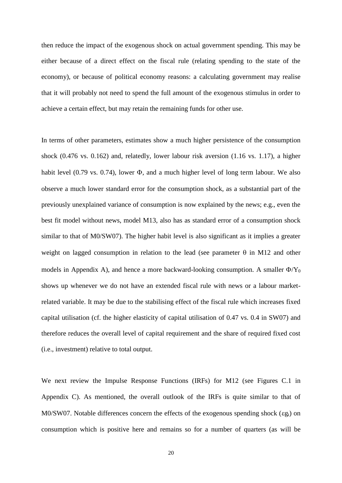then reduce the impact of the exogenous shock on actual government spending. This may be either because of a direct effect on the fiscal rule (relating spending to the state of the economy), or because of political economy reasons: a calculating government may realise that it will probably not need to spend the full amount of the exogenous stimulus in order to achieve a certain effect, but may retain the remaining funds for other use.

In terms of other parameters, estimates show a much higher persistence of the consumption shock (0.476 vs. 0.162) and, relatedly, lower labour risk aversion (1.16 vs. 1.17), a higher habit level (0.79 vs. 0.74), lower  $\Phi$ , and a much higher level of long term labour. We also observe a much lower standard error for the consumption shock, as a substantial part of the previously unexplained variance of consumption is now explained by the news; e.g., even the best fit model without news, model M13, also has as standard error of a consumption shock similar to that of M0/SW07). The higher habit level is also significant as it implies a greater weight on lagged consumption in relation to the lead (see parameter  $\theta$  in M12 and other models in Appendix A), and hence a more backward-looking consumption. A smaller  $\Phi/Y_0$ shows up whenever we do not have an extended fiscal rule with news or a labour marketrelated variable. It may be due to the stabilising effect of the fiscal rule which increases fixed capital utilisation (cf. the higher elasticity of capital utilisation of 0.47 vs. 0.4 in SW07) and therefore reduces the overall level of capital requirement and the share of required fixed cost (i.e., investment) relative to total output.

We next review the Impulse Response Functions (IRFs) for M12 (see Figures C.1 in Appendix C). As mentioned, the overall outlook of the IRFs is quite similar to that of M0/SW07. Notable differences concern the effects of the exogenous spending shock ( $\epsilon g_t$ ) on consumption which is positive here and remains so for a number of quarters (as will be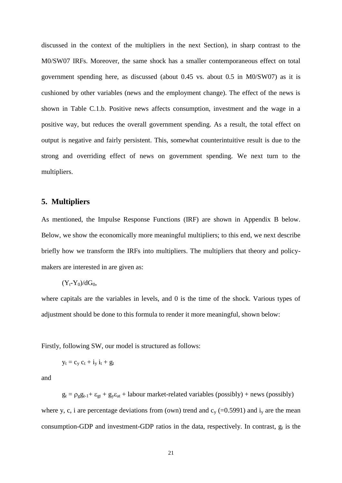discussed in the context of the multipliers in the next Section), in sharp contrast to the M0/SW07 IRFs. Moreover, the same shock has a smaller contemporaneous effect on total government spending here, as discussed (about 0.45 vs. about 0.5 in M0/SW07) as it is cushioned by other variables (news and the employment change). The effect of the news is shown in Table C.1.b. Positive news affects consumption, investment and the wage in a positive way, but reduces the overall government spending. As a result, the total effect on output is negative and fairly persistent. This, somewhat counterintuitive result is due to the strong and overriding effect of news on government spending. We next turn to the multipliers.

#### **5. Multipliers**

As mentioned, the Impulse Response Functions (IRF) are shown in Appendix B below. Below, we show the economically more meaningful multipliers; to this end, we next describe briefly how we transform the IRFs into multipliers. The multipliers that theory and policymakers are interested in are given as:

$$
(Y_t\text{-}Y_0)/dG_0,
$$

where capitals are the variables in levels, and 0 is the time of the shock. Various types of adjustment should be done to this formula to render it more meaningful, shown below:

Firstly, following SW, our model is structured as follows:

$$
y_t = c_y\ c_t + i_y\ i_t + g_t
$$

and

 $g_t = \rho_g g_{t-1} + \varepsilon_{gt} + g_y \varepsilon_{at}$  + labour market-related variables (possibly) + news (possibly) where y, c, i are percentage deviations from (own) trend and  $c_y$  (=0.5991) and  $i_y$  are the mean consumption-GDP and investment-GDP ratios in the data, respectively. In contrast,  $g_t$  is the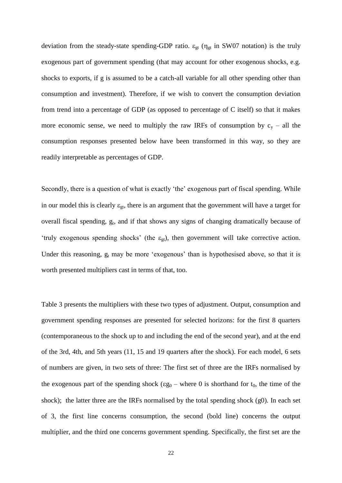deviation from the steady-state spending-GDP ratio.  $\varepsilon_{gt}$  ( $\eta_{gt}$  in SW07 notation) is the truly exogenous part of government spending (that may account for other exogenous shocks, e.g. shocks to exports, if g is assumed to be a catch-all variable for all other spending other than consumption and investment). Therefore, if we wish to convert the consumption deviation from trend into a percentage of GDP (as opposed to percentage of C itself) so that it makes more economic sense, we need to multiply the raw IRFs of consumption by  $c_y -$  all the consumption responses presented below have been transformed in this way, so they are readily interpretable as percentages of GDP.

Secondly, there is a question of what is exactly 'the' exogenous part of fiscal spending. While in our model this is clearly  $\varepsilon_{gt}$ , there is an argument that the government will have a target for overall fiscal spending, g<sub>t</sub>, and if that shows any signs of changing dramatically because of 'truly exogenous spending shocks' (the  $\varepsilon_{gt}$ ), then government will take corrective action. Under this reasoning,  $g_t$  may be more 'exogenous' than is hypothesised above, so that it is worth presented multipliers cast in terms of that, too.

Table 3 presents the multipliers with these two types of adjustment. Output, consumption and government spending responses are presented for selected horizons: for the first 8 quarters (contemporaneous to the shock up to and including the end of the second year), and at the end of the 3rd, 4th, and 5th years (11, 15 and 19 quarters after the shock). For each model, 6 sets of numbers are given, in two sets of three: The first set of three are the IRFs normalised by the exogenous part of the spending shock ( $\epsilon g_0$  – where 0 is shorthand for  $t_0$ , the time of the shock); the latter three are the IRFs normalised by the total spending shock (g0). In each set of 3, the first line concerns consumption, the second (bold line) concerns the output multiplier, and the third one concerns government spending. Specifically, the first set are the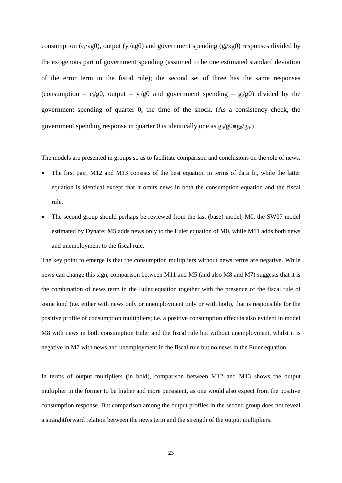consumption ( $c_t$ / $\epsilon$ g0), output ( $y_t$ / $\epsilon$ g0) and government spending ( $g_t$ / $\epsilon$ g0) responses divided by the exogenous part of government spending (assumed to be one estimated standard deviation of the error term in the fiscal rule); the second set of three has the same responses (consumption –  $c_v/g0$ , output –  $y_v/g0$  and government spending –  $g_v/g0$ ) divided by the government spending of quarter 0, the time of the shock. (As a consistency check, the government spending response in quarter 0 is identically one as  $g_0/g0 = g_0/g_0$ .

The models are presented in groups so as to facilitate comparison and conclusions on the role of news.

- The first pair, M12 and M13 consists of the best equation in terms of data fit, while the latter equation is identical except that it omits news in both the consumption equation and the fiscal rule.
- The second group should perhaps be reviewed from the last (base) model, M0, the SW07 model estimated by Dynare; M5 adds news only to the Euler equation of M0, while M11 adds both news and unemployment to the fiscal rule.

The key point to emerge is that the consumption multipliers without news terms are negative. While news can change this sign, comparison between M11 and M5 (and also M8 and M7) suggests that it is the combination of news term in the Euler equation together with the presence of the fiscal rule of some kind (i.e. either with news only or unemployment only or with both), that is responsible for the positive profile of consumption multipliers; i.e. a positive consumption effect is also evident in model M8 with news in both consumption Euler and the fiscal rule but without unemployment, whilst it is negative in M7 with news and unemployment in the fiscal rule but no news in the Euler equation.

In terms of output multipliers (in bold), comparison between M12 and M13 shows the output multiplier in the former to be higher and more persistent, as one would also expect from the positive consumption response. But comparison among the output profiles in the second group does not reveal a straightforward relation between the news term and the strength of the output multipliers.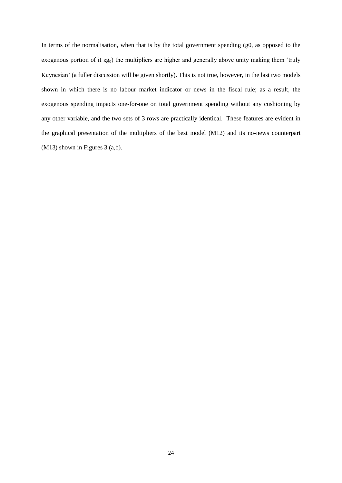In terms of the normalisation, when that is by the total government spending (g0, as opposed to the exogenous portion of it  $\epsilon g_0$ ) the multipliers are higher and generally above unity making them 'truly Keynesian' (a fuller discussion will be given shortly). This is not true, however, in the last two models shown in which there is no labour market indicator or news in the fiscal rule; as a result, the exogenous spending impacts one-for-one on total government spending without any cushioning by any other variable, and the two sets of 3 rows are practically identical. These features are evident in the graphical presentation of the multipliers of the best model (M12) and its no-news counterpart (M13) shown in Figures 3 (a,b).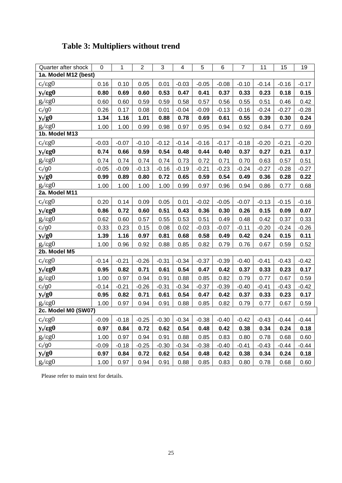| <b>Table 3: Multipliers without trend</b> |
|-------------------------------------------|
|-------------------------------------------|

| Quarter after shock    | $\mathsf 0$   | 1       | $\overline{2}$ | 3       | 4       | 5       | 6       | $\overline{7}$ | 11      | 15      | 19      |
|------------------------|---------------|---------|----------------|---------|---------|---------|---------|----------------|---------|---------|---------|
| 1a. Model M12 (best)   |               |         |                |         |         |         |         |                |         |         |         |
| $c_t/\epsilon g0$      | 0.16          | 0.10    | 0.05           | 0.01    | $-0.03$ | $-0.05$ | $-0.08$ | $-0.10$        | $-0.14$ | $-0.16$ | $-0.17$ |
| $y_t / \varepsilon g0$ | 0.80          | 0.69    | 0.60           | 0.53    | 0.47    | 0.41    | 0.37    | 0.33           | 0.23    | 0.18    | 0.15    |
| $g_t / \varepsilon g0$ | 0.60          | 0.60    | 0.59           | 0.59    | 0.58    | 0.57    | 0.56    | 0.55           | 0.51    | 0.46    | 0.42    |
| $c_t/g0$               | 0.26          | 0.17    | 0.08           | 0.01    | $-0.04$ | $-0.09$ | $-0.13$ | $-0.16$        | $-0.24$ | $-0.27$ | $-0.28$ |
| $y_t/g0$               | 1.34          | 1.16    | 1.01           | 0.88    | 0.78    | 0.69    | 0.61    | 0.55           | 0.39    | 0.30    | 0.24    |
| $g_t/\epsilon g0$      | 1.00          | 1.00    | 0.99           | 0.98    | 0.97    | 0.95    | 0.94    | 0.92           | 0.84    | 0.77    | 0.69    |
|                        | 1b. Model M13 |         |                |         |         |         |         |                |         |         |         |
| $c_t/\epsilon g0$      | $-0.03$       | $-0.07$ | $-0.10$        | $-0.12$ | $-0.14$ | $-0.16$ | $-0.17$ | $-0.18$        | $-0.20$ | $-0.21$ | $-0.20$ |
| $y_t / \epsilon g0$    | 0.74          | 0.66    | 0.59           | 0.54    | 0.48    | 0.44    | 0.40    | 0.37           | 0.27    | 0.21    | 0.17    |
| $g_t / \epsilon g0$    | 0.74          | 0.74    | 0.74           | 0.74    | 0.73    | 0.72    | 0.71    | 0.70           | 0.63    | 0.57    | 0.51    |
| $c_t/g0$               | $-0.05$       | $-0.09$ | $-0.13$        | $-0.16$ | $-0.19$ | $-0.21$ | $-0.23$ | $-0.24$        | $-0.27$ | $-0.28$ | $-0.27$ |
| $y_t/g0$               | 0.99          | 0.89    | 0.80           | 0.72    | 0.65    | 0.59    | 0.54    | 0.49           | 0.36    | 0.28    | 0.22    |
| $g_t / \epsilon g0$    | 1.00          | 1.00    | 1.00           | 1.00    | 0.99    | 0.97    | 0.96    | 0.94           | 0.86    | 0.77    | 0.68    |
| 2a. Model M11          |               |         |                |         |         |         |         |                |         |         |         |
| $c_t/\epsilon g0$      | 0.20          | 0.14    | 0.09           | 0.05    | 0.01    | $-0.02$ | $-0.05$ | $-0.07$        | $-0.13$ | $-0.15$ | $-0.16$ |
| $y_t / \epsilon g0$    | 0.86          | 0.72    | 0.60           | 0.51    | 0.43    | 0.36    | 0.30    | 0.26           | 0.15    | 0.09    | 0.07    |
| $g_t/\epsilon g0$      | 0.62          | 0.60    | 0.57           | 0.55    | 0.53    | 0.51    | 0.49    | 0.48           | 0.42    | 0.37    | 0.33    |
| $c_t/g0$               | 0.33          | 0.23    | 0.15           | 0.08    | 0.02    | $-0.03$ | $-0.07$ | $-0.11$        | $-0.20$ | $-0.24$ | $-0.26$ |
| $y_t/g0$               | 1.39          | 1.16    | 0.97           | 0.81    | 0.68    | 0.58    | 0.49    | 0.42           | 0.24    | 0.15    | 0.11    |
| $g_t / \varepsilon g0$ | 1.00          | 0.96    | 0.92           | 0.88    | 0.85    | 0.82    | 0.79    | 0.76           | 0.67    | 0.59    | 0.52    |
| 2b. Model M5           |               |         |                |         |         |         |         |                |         |         |         |
| $c_t/\epsilon g0$      | $-0.14$       | $-0.21$ | $-0.26$        | $-0.31$ | $-0.34$ | $-0.37$ | $-0.39$ | $-0.40$        | $-0.41$ | $-0.43$ | $-0.42$ |
| $y_t / \epsilon g0$    | 0.95          | 0.82    | 0.71           | 0.61    | 0.54    | 0.47    | 0.42    | 0.37           | 0.33    | 0.23    | 0.17    |
| $g_t/\epsilon g0$      | 1.00          | 0.97    | 0.94           | 0.91    | 0.88    | 0.85    | 0.82    | 0.79           | 0.77    | 0.67    | 0.59    |
| $c_t/g0$               | $-0.14$       | $-0.21$ | $-0.26$        | $-0.31$ | $-0.34$ | $-0.37$ | $-0.39$ | $-0.40$        | $-0.41$ | $-0.43$ | $-0.42$ |
| $y_t/g0$               | 0.95          | 0.82    | 0.71           | 0.61    | 0.54    | 0.47    | 0.42    | 0.37           | 0.33    | 0.23    | 0.17    |
| $g_t / \epsilon g0$    | 1.00          | 0.97    | 0.94           | 0.91    | 0.88    | 0.85    | 0.82    | 0.79           | 0.77    | 0.67    | 0.59    |
| 2c. Model M0 (SW07)    |               |         |                |         |         |         |         |                |         |         |         |
| $c_t/\epsilon g0$      | $-0.09$       | $-0.18$ | $-0.25$        | $-0.30$ | $-0.34$ | $-0.38$ | $-0.40$ | $-0.42$        | $-0.43$ | $-0.44$ | $-0.44$ |
| $y_t/\epsilon g0$      | 0.97          | 0.84    | 0.72           | 0.62    | 0.54    | 0.48    | 0.42    | 0.38           | 0.34    | 0.24    | 0.18    |
| $g_t/\epsilon g0$      | 1.00          | 0.97    | 0.94           | 0.91    | 0.88    | 0.85    | 0.83    | 0.80           | 0.78    | 0.68    | 0.60    |
| $c_t/g0$               | $-0.09$       | $-0.18$ | $-0.25$        | $-0.30$ | $-0.34$ | $-0.38$ | $-0.40$ | $-0.41$        | $-0.43$ | $-0.44$ | $-0.44$ |
| $y_t/g0$               | 0.97          | 0.84    | 0.72           | 0.62    | 0.54    | 0.48    | 0.42    | 0.38           | 0.34    | 0.24    | 0.18    |
| $g_t/\epsilon g0$      | 1.00          | 0.97    | 0.94           | 0.91    | 0.88    | 0.85    | 0.83    | 0.80           | 0.78    | 0.68    | 0.60    |

Please refer to main text for details.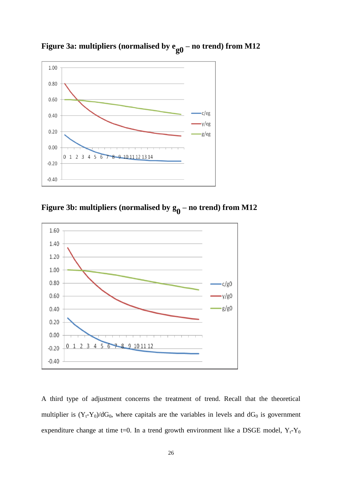

**Figure 3a:** multipliers (normalised by  $e_{g0}$  – no trend) from M12





A third type of adjustment concerns the treatment of trend. Recall that the theoretical multiplier is  $(Y_t-Y_0)/dG_0$ , where capitals are the variables in levels and  $dG_0$  is government expenditure change at time t=0. In a trend growth environment like a DSGE model,  $Y_t - Y_0$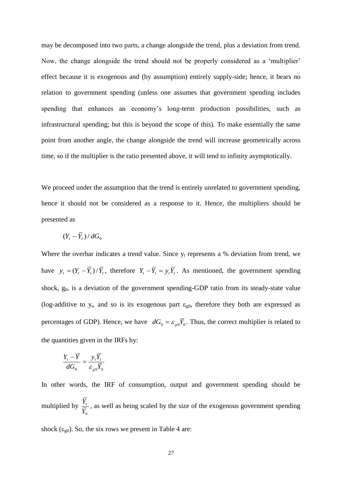may be decomposed into two parts, a change alongside the trend, plus a deviation from trend. Now, the change alongside the trend should not be properly considered as a 'multiplier' effect because it is exogenous and (by assumption) entirely supply-side; hence, it bears no relation to government spending (unless one assumes that government spending includes spending that enhances an economy's long-term production possibilities, such as infrastructural spending; but this is beyond the scope of this). To make essentially the same point from another angle, the change alongside the trend will increase geometrically across time, so if the multiplier is the ratio presented above, it will tend to infinity asymptotically.

We proceed under the assumption that the trend is entirely unrelated to government spending, hence it should not be considered as a response to it. Hence, the multipliers should be presented as

$$
(Y_t - \overline{Y}_t) / dG_0
$$

Where the overbar indicates a trend value. Since  $y_t$  represents a % deviation from trend, we have  $y_t = (Y_t - \overline{Y}_t)/\overline{Y}_t$ , therefore  $Y_t - \overline{Y}_t = y_t \overline{Y}_t$ . As mentioned, the government spending shock,  $g_0$ , is a deviation of the government spending-GDP ratio from its steady-state value (log-additive to  $y_t$ , and so is its exogenous part  $\varepsilon_{g0}$ , therefore they both are expressed as percentages of GDP). Hence, we have  $dG_0 = \varepsilon_{g0} \overline{Y}_0$ . Thus, the correct multiplier is related to the quantities given in the IRFs by:

$$
\frac{Y_t - \overline{Y}}{dG_0} = \frac{y_t \overline{Y}_t}{\varepsilon_{g0} \overline{Y}_0}
$$

In other words, the IRF of consumption, output and government spending should be multiplied by  $\overline{Y}_0$  $\frac{Y_t}{T}$ , as well as being scaled by the size of the exogenous government spending

shock ( $\varepsilon_{g0}$ ). So, the six rows we present in Table 4 are: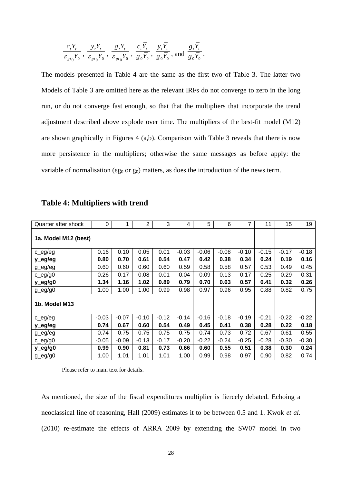$$
\frac{c_{t}\overline{Y}_{t}}{\varepsilon_{gt_{0}}\overline{Y}_{0}} , \frac{y_{t}\overline{Y}_{t}}{\varepsilon_{gt_{0}}\overline{Y}_{0}} , \frac{g_{t}\overline{Y}_{t}}{\varepsilon_{gt_{0}}\overline{Y}_{0}} , \frac{c_{t}\overline{Y}_{t}}{g_{0}\overline{Y}_{0}} , \frac{y_{t}\overline{Y}_{t}}{g_{0}\overline{Y}_{0}} , \text{and } \frac{g_{t}\overline{Y}_{t}}{g_{0}\overline{Y}_{0}}.
$$

The models presented in Table 4 are the same as the first two of Table 3. The latter two Models of Table 3 are omitted here as the relevant IRFs do not converge to zero in the long run, or do not converge fast enough, so that that the multipliers that incorporate the trend adjustment described above explode over time. The multipliers of the best-fit model (M12) are shown graphically in Figures 4 (a,b). Comparison with Table 3 reveals that there is now more persistence in the multipliers; otherwise the same messages as before apply: the variable of normalisation ( $\epsilon g_0$  or  $g_0$ ) matters, as does the introduction of the news term.

| Quarter after shock  | $\Omega$ | 1       | $\overline{2}$ | 3       | 4       | 5       | 6       | 7       | 11      | 15      | 19      |
|----------------------|----------|---------|----------------|---------|---------|---------|---------|---------|---------|---------|---------|
| 1a. Model M12 (best) |          |         |                |         |         |         |         |         |         |         |         |
| c_eg/eg              | 0.16     | 0.10    | 0.05           | 0.01    | $-0.03$ | $-0.06$ | $-0.08$ | $-0.10$ | $-0.15$ | $-0.17$ | $-0.18$ |
| y_eg/eg              | 0.80     | 0.70    | 0.61           | 0.54    | 0.47    | 0.42    | 0.38    | 0.34    | 0.24    | 0.19    | 0.16    |
| $g$ <sub>eg/eg</sub> | 0.60     | 0.60    | 0.60           | 0.60    | 0.59    | 0.58    | 0.58    | 0.57    | 0.53    | 0.49    | 0.45    |
| $c$ eg/g0            | 0.26     | 0.17    | 0.08           | 0.01    | $-0.04$ | $-0.09$ | $-0.13$ | $-0.17$ | $-0.25$ | $-0.29$ | $-0.31$ |
| y_eg/g0              | 1.34     | 1.16    | 1.02           | 0.89    | 0.79    | 0.70    | 0.63    | 0.57    | 0.41    | 0.32    | 0.26    |
| $g_{eq}/g0$          | 1.00     | 1.00    | 1.00           | 0.99    | 0.98    | 0.97    | 0.96    | 0.95    | 0.88    | 0.82    | 0.75    |
| 1b. Model M13        |          |         |                |         |         |         |         |         |         |         |         |
| c_eg/eg              | $-0.03$  | $-0.07$ | $-0.10$        | $-0.12$ | $-0.14$ | $-0.16$ | $-0.18$ | $-0.19$ | $-0.21$ | $-0.22$ | $-0.22$ |
| y_eg/eg              | 0.74     | 0.67    | 0.60           | 0.54    | 0.49    | 0.45    | 0.41    | 0.38    | 0.28    | 0.22    | 0.18    |
| $g$ _eg/eg           | 0.74     | 0.75    | 0.75           | 0.75    | 0.75    | 0.74    | 0.73    | 0.72    | 0.67    | 0.61    | 0.55    |
| $c$ eg/g0            | $-0.05$  | $-0.09$ | $-0.13$        | $-0.17$ | $-0.20$ | $-0.22$ | $-0.24$ | $-0.25$ | $-0.28$ | $-0.30$ | $-0.30$ |
| y_eg/g0              | 0.99     | 0.90    | 0.81           | 0.73    | 0.66    | 0.60    | 0.55    | 0.51    | 0.38    | 0.30    | 0.24    |
| $g_{eq}/g0$          | 1.00     | 1.01    | 1.01           | 1.01    | 1.00    | 0.99    | 0.98    | 0.97    | 0.90    | 0.82    | 0.74    |

### **Table 4: Multipliers with trend**

Please refer to main text for details.

As mentioned, the size of the fiscal expenditures multiplier is fiercely debated. Echoing a neoclassical line of reasoning, Hall (2009) estimates it to be between 0.5 and 1. Kwok *et al*. (2010) re-estimate the effects of ARRA 2009 by extending the SW07 model in two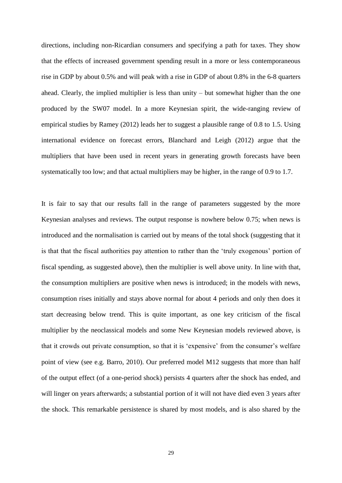directions, including non-Ricardian consumers and specifying a path for taxes. They show that the effects of increased government spending result in a more or less contemporaneous rise in GDP by about 0.5% and will peak with a rise in GDP of about 0.8% in the 6-8 quarters ahead. Clearly, the implied multiplier is less than unity – but somewhat higher than the one produced by the SW07 model. In a more Keynesian spirit, the wide-ranging review of empirical studies by Ramey (2012) leads her to suggest a plausible range of 0.8 to 1.5. Using international evidence on forecast errors, Blanchard and Leigh (2012) argue that the multipliers that have been used in recent years in generating growth forecasts have been systematically too low; and that actual multipliers may be higher, in the range of 0.9 to 1.7.

It is fair to say that our results fall in the range of parameters suggested by the more Keynesian analyses and reviews. The output response is nowhere below 0.75; when news is introduced and the normalisation is carried out by means of the total shock (suggesting that it is that that the fiscal authorities pay attention to rather than the 'truly exogenous' portion of fiscal spending, as suggested above), then the multiplier is well above unity. In line with that, the consumption multipliers are positive when news is introduced; in the models with news, consumption rises initially and stays above normal for about 4 periods and only then does it start decreasing below trend. This is quite important, as one key criticism of the fiscal multiplier by the neoclassical models and some New Keynesian models reviewed above, is that it crowds out private consumption, so that it is 'expensive' from the consumer's welfare point of view (see e.g. Barro, 2010). Our preferred model M12 suggests that more than half of the output effect (of a one-period shock) persists 4 quarters after the shock has ended, and will linger on years afterwards; a substantial portion of it will not have died even 3 years after the shock. This remarkable persistence is shared by most models, and is also shared by the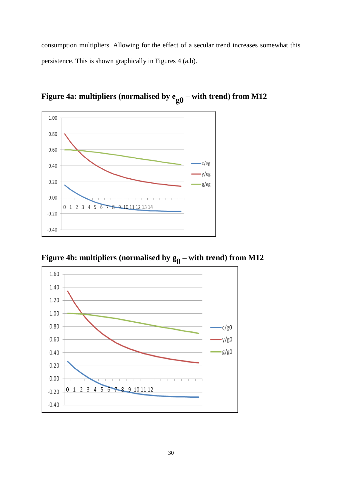consumption multipliers. Allowing for the effect of a secular trend increases somewhat this persistence. This is shown graphically in Figures 4 (a,b).



Figure 4a: multipliers (normalised by  $e_{g0}$  – with trend) from M12

Figure 4b: multipliers (normalised by  $g_0$  – with trend) from M12

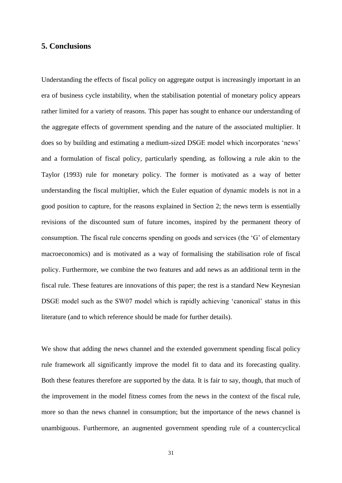#### **5. Conclusions**

Understanding the effects of fiscal policy on aggregate output is increasingly important in an era of business cycle instability, when the stabilisation potential of monetary policy appears rather limited for a variety of reasons. This paper has sought to enhance our understanding of the aggregate effects of government spending and the nature of the associated multiplier. It does so by building and estimating a medium-sized DSGE model which incorporates 'news' and a formulation of fiscal policy, particularly spending, as following a rule akin to the Taylor (1993) rule for monetary policy. The former is motivated as a way of better understanding the fiscal multiplier, which the Euler equation of dynamic models is not in a good position to capture, for the reasons explained in Section 2; the news term is essentially revisions of the discounted sum of future incomes, inspired by the permanent theory of consumption. The fiscal rule concerns spending on goods and services (the 'G' of elementary macroeconomics) and is motivated as a way of formalising the stabilisation role of fiscal policy. Furthermore, we combine the two features and add news as an additional term in the fiscal rule. These features are innovations of this paper; the rest is a standard New Keynesian DSGE model such as the SW07 model which is rapidly achieving 'canonical' status in this literature (and to which reference should be made for further details).

We show that adding the news channel and the extended government spending fiscal policy rule framework all significantly improve the model fit to data and its forecasting quality. Both these features therefore are supported by the data. It is fair to say, though, that much of the improvement in the model fitness comes from the news in the context of the fiscal rule, more so than the news channel in consumption; but the importance of the news channel is unambiguous. Furthermore, an augmented government spending rule of a countercyclical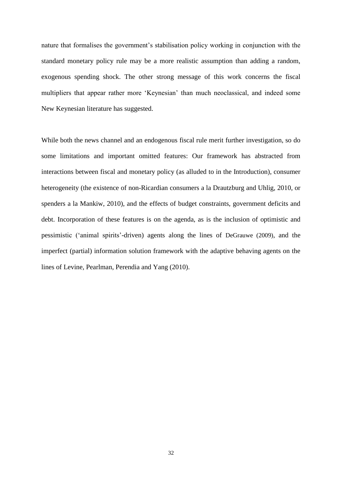nature that formalises the government's stabilisation policy working in conjunction with the standard monetary policy rule may be a more realistic assumption than adding a random, exogenous spending shock. The other strong message of this work concerns the fiscal multipliers that appear rather more 'Keynesian' than much neoclassical, and indeed some New Keynesian literature has suggested.

While both the news channel and an endogenous fiscal rule merit further investigation, so do some limitations and important omitted features: Our framework has abstracted from interactions between fiscal and monetary policy (as alluded to in the Introduction), consumer heterogeneity (the existence of non-Ricardian consumers a la Drautzburg and Uhlig, 2010, or spenders a la Mankiw, 2010), and the effects of budget constraints, government deficits and debt. Incorporation of these features is on the agenda, as is the inclusion of optimistic and pessimistic ('animal spirits'-driven) agents along the lines of DeGrauwe (2009), and the imperfect (partial) information solution framework with the adaptive behaving agents on the lines of Levine, Pearlman, Perendia and Yang (2010).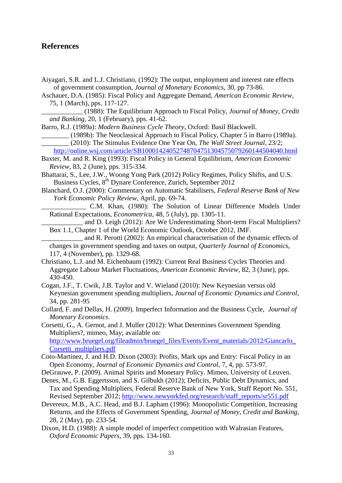### **References**

- Aiyagari, S.R. and L.J. Christiano, (1992): The output, employment and interest rate effects of government consumption, *Journal of Monetary Economics*, 30, pp 73-86.
- Aschauer, D.A. (1985): Fiscal Policy and Aggregate Demand, *American Economic Review*, 75, 1 (March), pps. 117-127.
- \_\_\_\_\_\_\_\_\_\_\_\_ (1988): The Equilibrium Approach to Fiscal Policy, *Journal of Money, Credit and Banking*, 20, 1 (February), pps. 41-62.
- Barro, R.J. (1989a): *Modern Business Cycle Theory*, Oxford: Basil Blackwell.
	- \_\_\_\_\_\_\_\_ (1989b): The Neoclassical Approach to Fiscal Policy, Chapter 5 in Barro (1989a). \_\_\_\_\_\_\_\_ (2010): The Stimulus Evidence One Year On, *The Wall Street Journal*, 23/2;

<http://online.wsj.com/article/SB10001424052748704751304575079260144504040.html> Baxter, M. and R. King (1993): Fiscal Policy in General Equilibrium, *American Economic* 

*Review*, 83, 2 (June), pps. 315-334.

Bhattarai, S., Lee, J.W., Woong Yong Park (2012) Policy Regimes, Policy Shifts, and U.S. Business Cycles, 8<sup>th</sup> Dynare Conference, Zurich, September 2012

Blanchard, O.J. (2000): Commentary on Automatic Stabilisers, *Federal Reserve Bank of New York Economic Policy Review*, April, pp. 69-74.

\_\_\_\_\_\_\_\_\_\_\_\_\_ C.M. Khan, (1980): The Solution of Linear Difference Models Under Rational Expectations, *Econometrica*, 48, 5 (July), pp. 1305-11.

and D. Leigh (2012): Are We Underestimating Short-term Fiscal Multipliers? Box 1.1, Chapter 1 of the World Economic Outlook, October 2012, IMF.

and R. Perotti (2002): An empirical characterisation of the dynamic effects of changes in government spending and taxes on output, *Quarterly Journal of Economics*, 117, 4 (November), pp. 1329-68.

- Christiano, L.J. and M. Eichenbaum (1992): Current Real Business Cycles Theories and Aggregate Labour Market Fluctuations, *American Economic Review*, 82, 3 (June), pps. 430-450.
- Cogan, J.F., T. Cwik, J.B. Taylor and V. Wieland (2010): New Keynesian versus old Keynesian government spending multipliers, *Journal of Economic Dynamics and Control*, 34, pp. 281-95
- Collard, F. and Dellas, H. (2009). Imperfect Information and the Business Cycle, *Journal of Monetary Economics*.

Corsetti, G., A. Gernot, and J. Muller (2012): What Determines Government Spending Multipliers?, mimeo, May; available on: http://www.bruegel.org/fileadmin/bruegel\_files/Events/Event\_materials/2012/Giancarlo [Corsetti\\_multipliers.pdf](http://www.bruegel.org/fileadmin/bruegel_files/Events/Event_materials/2012/Giancarlo_Corsetti_multipliers.pdf)

Coto-Martinez, J. and H.D. Dixon (2003): Profits, Mark ups and Entry: Fiscal Policy in an Open Economy, *Journal of Economic Dynamics and Control*, 7, 4, pp. 573-97.

- DeGrauwe, P. (2009). Animal Spirits and Monetary Policy. Mimeo, University of Leuven.
- Denes, M., G.B. Eggertsson, and S. Gilbukh (2012); Deficits, Public Debt Dynamics, and Tax and Spending Multipliers, Federal Reserve Bank of New York, Staff Report No. 551, Revised September 2012; [http://www.newyorkfed.org/research/staff\\_reports/sr551.pdf](http://www.newyorkfed.org/research/staff_reports/sr551.pdf)
- Devereux, M.B., A.C. Head, and B.J. Lapham (1996): Monopolistic Competition, Increasing Returns, and the Effects of Government Spending, *Journal of Money, Credit and Banking*, 28, 2 (May), pp. 233-54.
- Dixon, H.D. (1988): A simple model of imperfect competition with Walrasian Features, *Oxford Economic Papers,* 39, pps. 134-160.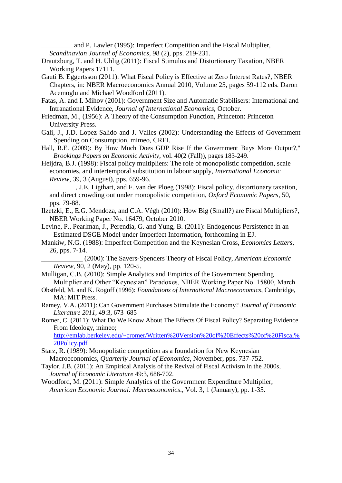and P. Lawler (1995): Imperfect Competition and the Fiscal Multiplier, *Scandinavian Journal of Economics*, 98 (2), pps. 219-231.

- Drautzburg, T. and H. Uhlig (2011): Fiscal Stimulus and Distortionary Taxation, NBER Working Papers 17111.
- Gauti B. Eggertsson (2011): What Fiscal Policy is Effective at Zero Interest Rates?, NBER Chapters, in: NBER Macroeconomics Annual 2010, Volume 25, pages 59-112 eds. Daron Acemoglu and Michael Woodford (2011).
- Fatas, A. and I. Mihov (2001): Government Size and Automatic Stabilisers: International and Intranational Evidence, *Journal of International Economics*, October.
- Friedman, M., (1956): A Theory of the Consumption Function, Princeton: Princeton University Press.
- Gali, J., J.D. Lopez-Salido and J. Valles (2002): Understanding the Effects of Government Spending on Consumption, mimeo, CREI.
- Hall, R.E. (2009): By How Much Does GDP Rise If the Government Buys More Output?," *Brookings Papers on Economic Activity*, vol. 40(2 (Fall)), pages 183-249.
- Heijdra, B.J. (1998): Fiscal policy multipliers: The role of monopolistic competition, scale economies, and intertemporal substitution in labour supply, *International Economic Review*, 39, 3 (August), pps. 659-96.

\_\_\_\_\_\_\_\_\_\_, J.E. Ligthart, and F. van der Ploeg (1998): Fiscal policy, distortionary taxation, and direct crowding out under monopolistic competition, *Oxford Economic Papers*, 50, pps. 79-88.

- Ilzetzki, E., E.G. Mendoza, and C.A. Végh (2010): How Big (Small?) are Fiscal Multipliers?, NBER Working Paper No. 16479, October 2010.
- Levine, P., Pearlman, J., Perendia, G. and Yung, B. (2011): Endogenous Persistence in an Estimated DSGE Model under Imperfect Information, forthcoming in EJ.
- Mankiw, N.G. (1988): Imperfect Competition and the Keynesian Cross, *Economics Letters*, 26, pps. 7-14.

\_\_\_\_\_\_\_\_\_\_\_\_ (2000): The Savers-Spenders Theory of Fiscal Policy, *American Economic Review*, 90, 2 (May), pp. 120-5.

- Mulligan, C.B. (2010): Simple Analytics and Empirics of the Government Spending Multiplier and Other "Keynesian" Paradoxes, NBER Working Paper No. 15800, March
- Obstfeld, M. and K. Rogoff (1996): *Foundations of International Macroeconomics*, Cambridge, MA: MIT Press.
- Ramey, V.A. (2011): Can Government Purchases Stimulate the Economy? *Journal of Economic Literature 2011*, 49:3, 673–685
- Romer, C. (2011): What Do We Know About The Effects Of Fiscal Policy? Separating Evidence From Ideology, mimeo;

[http://emlab.berkeley.edu/~cromer/Written%20Version%20of%20Effects%20of%20Fiscal%](http://emlab.berkeley.edu/~cromer/Written%20Version%20of%20Effects%20of%20Fiscal%20Policy.pdf) [20Policy.pdf](http://emlab.berkeley.edu/~cromer/Written%20Version%20of%20Effects%20of%20Fiscal%20Policy.pdf)

- Starz, R. (1989): Monopolistic competition as a foundation for New Keynesian Macroeconomics, *Quarterly Journal of Economics*, November, pps. 737-752.
- Taylor, J.B. (2011): An Empirical Analysis of the Revival of Fiscal Activism in the 2000s, *Journal of Economic Literature* 49:3, 686-702.
- Woodford, M. (2011): Simple Analytics of the Government Expenditure Multiplier, *American Economic Journal: Macroeconomics*., Vol. 3, 1 (January), pp. 1-35.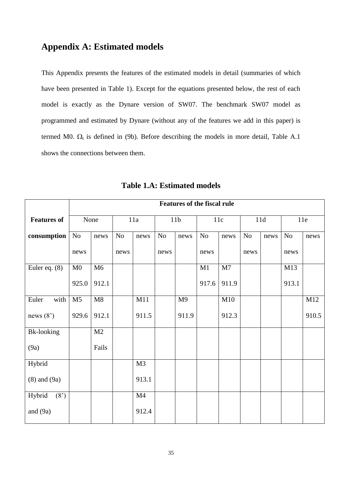### **Appendix A: Estimated models**

This Appendix presents the features of the estimated models in detail (summaries of which have been presented in Table 1). Except for the equations presented below, the rest of each model is exactly as the Dynare version of SW07. The benchmark SW07 model as programmed and estimated by Dynare (without any of the features we add in this paper) is termed M0.  $\Omega_t$  is defined in (9b). Before describing the models in more detail, Table A.1 shows the connections between them.

|                    | <b>Features of the fiscal rule</b> |       |      |                |                 |                |                |       |      |      |       |       |
|--------------------|------------------------------------|-------|------|----------------|-----------------|----------------|----------------|-------|------|------|-------|-------|
| <b>Features of</b> | None                               |       | 11a  |                | 11 <sub>b</sub> |                | 11c            |       | 11d  |      | 11e   |       |
| consumption        | $\rm No$                           | news  | No   | news           | No              | news           | N <sub>o</sub> | news  | No   | news | No    | news  |
|                    | news                               |       | news |                | news            |                | news           |       | news |      | news  |       |
| Euler eq. $(8)$    | M <sub>0</sub>                     | M6    |      |                |                 |                | M1             | M7    |      |      | M13   |       |
|                    | 925.0                              | 912.1 |      |                |                 |                | 917.6          | 911.9 |      |      | 913.1 |       |
| with<br>Euler      | M <sub>5</sub>                     | M8    |      | M11            |                 | M <sub>9</sub> |                | M10   |      |      |       | M12   |
| news $(8')$        | 929.6                              | 912.1 |      | 911.5          |                 | 911.9          |                | 912.3 |      |      |       | 910.5 |
| <b>Bk-looking</b>  |                                    | M2    |      |                |                 |                |                |       |      |      |       |       |
| (9a)               |                                    | Fails |      |                |                 |                |                |       |      |      |       |       |
| Hybrid             |                                    |       |      | M <sub>3</sub> |                 |                |                |       |      |      |       |       |
| $(8)$ and $(9a)$   |                                    |       |      | 913.1          |                 |                |                |       |      |      |       |       |
| (8')<br>Hybrid     |                                    |       |      | M4             |                 |                |                |       |      |      |       |       |
| and $(9a)$         |                                    |       |      | 912.4          |                 |                |                |       |      |      |       |       |

**Table 1.A: Estimated models**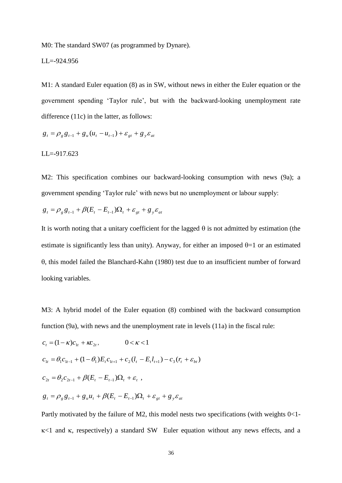M0: The standard SW07 (as programmed by Dynare).

$$
LL = -924.956
$$

M1: A standard Euler equation (8) as in SW, without news in either the Euler equation or the government spending 'Taylor rule', but with the backward-looking unemployment rate difference (11c) in the latter, as follows:

$$
g_{t} = \rho_{g} g_{t-1} + g_{u} (u_{t} - u_{t-1}) + \varepsilon_{gt} + g_{y} \varepsilon_{at}
$$

$$
LL = -917.623
$$

M2: This specification combines our backward-looking consumption with news (9a); a government spending 'Taylor rule' with news but no unemployment or labour supply:

$$
g_t = \rho_g g_{t-1} + \beta (E_t - E_{t-1}) \Omega_t + \varepsilon_{gt} + g_y \varepsilon_{at}
$$

It is worth noting that a unitary coefficient for the lagged  $\theta$  is not admitted by estimation (the estimate is significantly less than unity). Anyway, for either an imposed  $\theta = 1$  or an estimated , this model failed the Blanchard-Kahn (1980) test due to an insufficient number of forward looking variables.

M3: A hybrid model of the Euler equation (8) combined with the backward consumption function (9a), with news and the unemployment rate in levels (11a) in the fiscal rule:

$$
c_{t} = (1 - \kappa)c_{1t} + \kappa c_{2t}, \qquad 0 < \kappa < 1
$$
  
\n
$$
c_{1t} = \theta_{1}c_{1t-1} + (1 - \theta_{1})E_{t}c_{1t+1} + c_{2}(l_{t} - E_{t}l_{t+1}) - c_{3}(r_{t} + \varepsilon_{bt})
$$
  
\n
$$
c_{2t} = \theta_{2}c_{2t-1} + \beta(E_{t} - E_{t-1})\Omega_{t} + \varepsilon_{t},
$$
  
\n
$$
g_{t} = \rho_{g}g_{t-1} + g_{u}u_{t} + \beta(E_{t} - E_{t-1})\Omega_{t} + \varepsilon_{gt} + g_{y}\varepsilon_{at}
$$

Partly motivated by the failure of M2, this model nests two specifications (with weights  $0<1$ - $\kappa$ <1 and  $\kappa$ , respectively) a standard SW Euler equation without any news effects, and a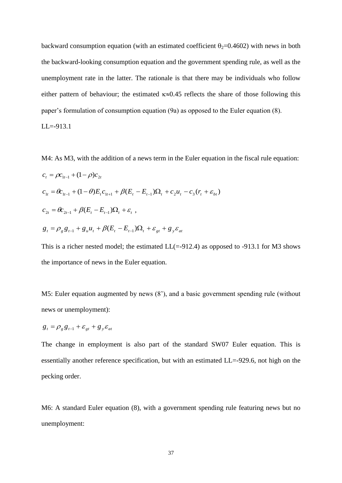backward consumption equation (with an estimated coefficient  $\theta_2=0.4602$ ) with news in both the backward-looking consumption equation and the government spending rule, as well as the unemployment rate in the latter. The rationale is that there may be individuals who follow either pattern of behaviour; the estimated  $\kappa \approx 0.45$  reflects the share of those following this paper's formulation of consumption equation (9a) as opposed to the Euler equation (8).

 $LL = -913.1$ 

M4: As M3, with the addition of a news term in the Euler equation in the fiscal rule equation:  $c_t = \rho c_{1t-1} + (1 - \rho) c_{2t}$  $c_{1t} = \theta c_{1t-1} + (1-\theta)E_{t}c_{1t+1} + \beta(E_{t} - E_{t-1})\Omega_{t} + c_{2}u_{t} - c_{3}(r_{t} + \varepsilon_{bt})$  $c_{2t} = \theta c_{2t-1} + \beta (E_t - E_{t-1}) \Omega_t + \varepsilon_t$ ,  $g_t = \rho_g g_{t-1} + g_u u_t + \beta (E_t - E_{t-1}) \Omega_t + \varepsilon_{gt} + g_y \varepsilon_{at}$ 

This is a richer nested model; the estimated  $LL (= -912.4)$  as opposed to  $-913.1$  for M3 shows the importance of news in the Euler equation.

M5: Euler equation augmented by news (8'), and a basic government spending rule (without news or unemployment):

$$
g_t = \rho_g g_{t-1} + \varepsilon_{gt} + g_y \varepsilon_{at}
$$

The change in employment is also part of the standard SW07 Euler equation. This is essentially another reference specification, but with an estimated LL=-929.6, not high on the pecking order.

M6: A standard Euler equation (8), with a government spending rule featuring news but no unemployment: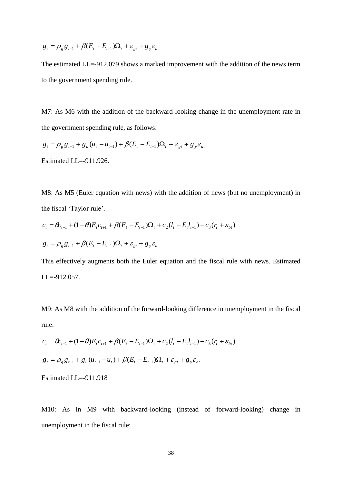$$
g_t = \rho_g g_{t-1} + \beta (E_t - E_{t-1}) \Omega_t + \varepsilon_{gt} + g_y \varepsilon_{at}
$$

The estimated LL=-912.079 shows a marked improvement with the addition of the news term to the government spending rule.

M7: As M6 with the addition of the backward-looking change in the unemployment rate in the government spending rule, as follows:

 $g_t = \rho_g g_{t-1} + g_u (u_t - u_{t-1}) + \beta (E_t - E_{t-1}) \Omega_t + \varepsilon_{gt} + g_y \varepsilon_{at}$ Estimated LL=-911.926.

M8: As M5 (Euler equation with news) with the addition of news (but no unemployment) in the fiscal 'Taylor rule'.

$$
c_{t} = \theta c_{t-1} + (1 - \theta) E_{t} c_{t+1} + \beta (E_{t} - E_{t-1}) \Omega_{t} + c_{2} (l_{t} - E_{t} l_{t+1}) - c_{3} (r_{t} + \varepsilon_{bt})
$$
  

$$
g_{t} = \rho_{g} g_{t-1} + \beta (E_{t} - E_{t-1}) \Omega_{t} + \varepsilon_{gt} + g_{y} \varepsilon_{at}
$$

This effectively augments both the Euler equation and the fiscal rule with news. Estimated LL=-912.057.

M9: As M8 with the addition of the forward-looking difference in unemployment in the fiscal rule:

$$
c_{t} = \theta c_{t-1} + (1 - \theta) E_{t} c_{t+1} + \beta (E_{t} - E_{t-1}) \Omega_{t} + c_{2} (l_{t} - E_{t} l_{t+1}) - c_{3} (r_{t} + \varepsilon_{bt})
$$
  

$$
g_{t} = \rho_{g} g_{t-1} + g_{u} (u_{t+1} - u_{t}) + \beta (E_{t} - E_{t-1}) \Omega_{t} + \varepsilon_{gt} + g_{y} \varepsilon_{at}
$$

Estimated LL=-911.918

M10: As in M9 with backward-looking (instead of forward-looking) change in unemployment in the fiscal rule: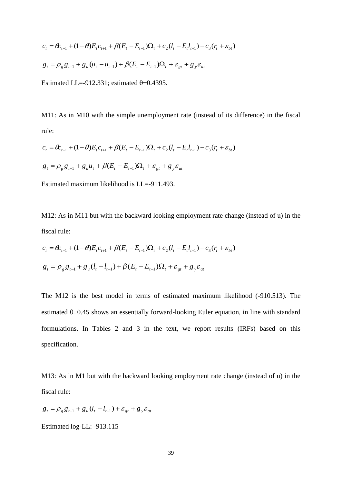$$
c_{t} = \theta c_{t-1} + (1 - \theta) E_{t} c_{t+1} + \beta (E_{t} - E_{t-1}) \Omega_{t} + c_{2} (l_{t} - E_{t} l_{t+1}) - c_{3} (r_{t} + \varepsilon_{bt})
$$
  

$$
g_{t} = \rho_{g} g_{t-1} + g_{u} (u_{t} - u_{t-1}) + \beta (E_{t} - E_{t-1}) \Omega_{t} + \varepsilon_{gt} + g_{y} \varepsilon_{at}
$$

Estimated LL=-912.331; estimated  $\theta$ =0.4395.

M11: As in M10 with the simple unemployment rate (instead of its difference) in the fiscal rule:

$$
c_{t} = \theta c_{t-1} + (1 - \theta) E_{t} c_{t+1} + \beta (E_{t} - E_{t-1}) \Omega_{t} + c_{2} (l_{t} - E_{t} l_{t+1}) - c_{3} (r_{t} + \varepsilon_{bt})
$$
  

$$
g_{t} = \rho_{g} g_{t-1} + g_{u} u_{t} + \beta (E_{t} - E_{t-1}) \Omega_{t} + \varepsilon_{gt} + g_{y} \varepsilon_{at}
$$

Estimated maximum likelihood is LL=-911.493.

M12: As in M11 but with the backward looking employment rate change (instead of u) in the fiscal rule:

$$
c_{t} = \theta c_{t-1} + (1 - \theta) E_{t} c_{t+1} + \beta (E_{t} - E_{t-1}) \Omega_{t} + c_{2} (l_{t} - E_{t} l_{t+1}) - c_{3} (r_{t} + \varepsilon_{bt})
$$
  

$$
g_{t} = \rho_{g} g_{t-1} + g_{u} (l_{t} - l_{t-1}) + \beta (E_{t} - E_{t-1}) \Omega_{t} + \varepsilon_{gt} + g_{y} \varepsilon_{at}
$$

(1-O)E<sub>1</sub>C<sub>c+1</sub> +  $\beta(E_i - E_{i-1})\Omega_i$ ,  $+ c_2(l_i - E_i l_{i+1}) - c_3(r_i + \varepsilon_{hi})$ <br>
+  $g_s(u_i - u_{i-1}) + \beta(E_i - E_{i-1})\Omega_i + \varepsilon_{gi} + g_s \varepsilon_{ni}$ <br>
L-912.331; estimated  $\theta$ -0.4395.<br>
M10 with the simple unemployment rate (instead of its<br>
(1- $\theta$ )E<sub>1</sub> The M12 is the best model in terms of estimated maximum likelihood (-910.513). The estimated  $\theta$ =0.45 shows an essentially forward-looking Euler equation, in line with standard formulations. In Tables 2 and 3 in the text, we report results (IRFs) based on this specification.

M13: As in M1 but with the backward looking employment rate change (instead of u) in the fiscal rule:

$$
g_t = \rho_g g_{t-1} + g_u (l_t - l_{t-1}) + \varepsilon_{gt} + g_y \varepsilon_{at}
$$

Estimated log-LL: -913.115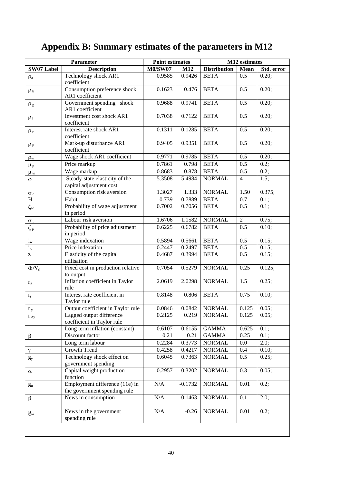|                 | Parameter                                                      | <b>Point estimates</b> |           |                     | M12 estimates    |            |  |
|-----------------|----------------------------------------------------------------|------------------------|-----------|---------------------|------------------|------------|--|
| SW07 Label      | <b>Description</b>                                             | <b>M0/SW07</b>         | M12       | <b>Distribution</b> | <b>Mean</b>      | Std. error |  |
| $\rho_a$        | Technology shock AR1<br>coefficient                            | 0.9585                 | 0.9426    | <b>BETA</b>         | 0.5              | 0.20;      |  |
| $\rho_b$        | Consumption preference shock<br>AR1 coefficient                | 0.1623                 | 0.476     | <b>BETA</b>         | 0.5              | 0.20;      |  |
| $\rho_g$        | Government spending shock<br>AR1 coefficient                   | 0.9688                 | 0.9741    | <b>BETA</b>         | 0.5              | 0.20;      |  |
| $\rho_1$        | Investment cost shock AR1<br>coefficient                       | 0.7038                 | 0.7122    | <b>BETA</b>         | 0.5              | 0.20;      |  |
| $\rho_r$        | Interest rate shock AR1<br>coefficient                         | 0.1311                 | 0.1285    | <b>BETA</b>         | 0.5              | 0.20;      |  |
| $\rho_p$        | Mark-up disturbance AR1<br>coefficient                         | 0.9405                 | 0.9351    | <b>BETA</b>         | 0.5              | 0.20;      |  |
| $\rho_w$        | Wage shock AR1 coefficient                                     | 0.9771                 | 0.9785    | <b>BETA</b>         | 0.5              | 0.20;      |  |
| $\mu_p$         | Price markup                                                   | 0.7861                 | 0.798     | <b>BETA</b>         | $\overline{0.5}$ | $0.2$ ;    |  |
| $\mu_w$         | Wage markup                                                    | 0.8683                 | 0.878     | <b>BETA</b>         | 0.5              | 0.2;       |  |
| $\varphi$       | Steady-state elasticity of the<br>capital adjustment cost      | 5.3508                 | 5.4984    | <b>NORMAL</b>       | $\overline{4}$   | 1.5;       |  |
| $\sigma_c$      | Consumption risk aversion                                      | 1.3027                 | 1.333     | <b>NORMAL</b>       | 1.50             | 0.375;     |  |
| H               | Habit                                                          | 0.739                  | 0.7889    | <b>BETA</b>         | 0.7              | 0.1;       |  |
| $\zeta_{\rm w}$ | Probability of wage adjustment<br>in period                    | 0.7002                 | 0.7056    | <b>BETA</b>         | 0.5              | $0.1$ ;    |  |
| $\sigma_1$      | Labour risk aversion                                           | 1.6706                 | 1.1582    | <b>NORMAL</b>       | $\overline{2}$   | 0.75;      |  |
| $\zeta_p$       | Probability of price adjustment<br>in period                   | 0.6225                 | 0.6782    | <b>BETA</b>         | 0.5              | 0.10;      |  |
| $i_{w}$         | Wage indexation                                                | 0.5894                 | 0.5661    | <b>BETA</b>         | 0.5              | 0.15;      |  |
| $i_{p}$         | Price indexation                                               | 0.2447                 | 0.2497    | <b>BETA</b>         | 0.5              | 0.15;      |  |
| Z               | Elasticity of the capital<br>utilisation                       | 0.4687                 | 0.3994    | <b>BETA</b>         | 0.5              | 0.15;      |  |
| $\Phi/Y_0$      | Fixed cost in production relative<br>to output                 | 0.7054                 | 0.5279    | <b>NORMAL</b>       | 0.25             | 0.125;     |  |
| $r_{\pi}$       | Inflation coefficient in Taylor<br>rule                        | 2.0619                 | 2.0298    | <b>NORMAL</b>       | 1.5              | 0.25;      |  |
| $r_r$           | Interest rate coefficient in<br>Taylor rule                    | 0.8148                 | 0.806     | <b>BETA</b>         | 0.75             | 0.10       |  |
| $r_{y}$         | Output coefficient in Taylor rule                              | 0.0846                 | 0.0842    | <b>NORMAL</b>       | 0.125            | 0.05;      |  |
| $r_{\Delta y}$  | Lagged output difference<br>coefficient in Taylor rule         | 0.2125                 |           | $0.219$ NORMAL      | $0.125$ 0.05;    |            |  |
|                 | Long term inflation (constant)                                 | 0.6107                 | 0.6155    | <b>GAMMA</b>        | 0.625            | 0.1;       |  |
| $\beta$         | Discount factor                                                | 0.21                   | 0.21      | <b>GAMMA</b>        | 0.25             | 0.1;       |  |
|                 | Long term labour                                               | 0.2284                 | 0.3773    | <b>NORMAL</b>       | $0.0\,$          | 2.0;       |  |
| $\gamma$        | Growth Trend                                                   | 0.4258                 | 0.4217    | <b>NORMAL</b>       | 0.4              | 0.10;      |  |
| $g_y$           | Technology shock effect on<br>government spending              | 0.6045                 | 0.7363    | <b>NORMAL</b>       | 0.5              | 0.25;      |  |
| $\alpha$        | Capital weight production<br>function                          | 0.2957                 | 0.3202    | <b>NORMAL</b>       | 0.3              | 0.05;      |  |
| $g_{u}$         | Employment difference (11e) in<br>the government spending rule | N/A                    | $-0.1732$ | <b>NORMAL</b>       | 0.01             | 0.2;       |  |
| $\beta$         | News in consumption                                            | $\rm N/A$              | 0.1463    | <b>NORMAL</b>       | 0.1              | 2.0;       |  |
| $g_{\rm w}$     | News in the government<br>spending rule                        | $\rm N/A$              | $-0.26$   | <b>NORMAL</b>       | 0.01             | 0.2;       |  |
|                 |                                                                |                        |           |                     |                  |            |  |

# **Appendix B: Summary estimates of the parameters in M12**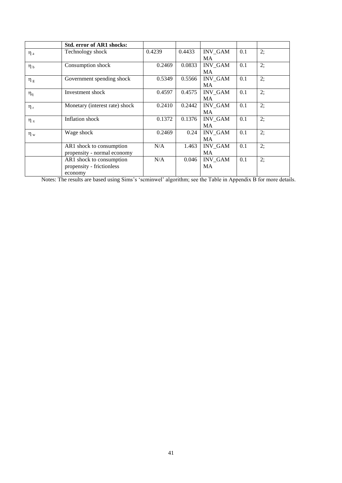|              | Std. error of AR1 shocks:      |        |        |                |     |    |
|--------------|--------------------------------|--------|--------|----------------|-----|----|
| $\eta_a$     | Technology shock               | 0.4239 | 0.4433 | <b>INV GAM</b> | 0.1 | 2; |
|              |                                |        |        | MA.            |     |    |
| $\eta_b$     | Consumption shock              | 0.2469 | 0.0833 | INV_GAM        | 0.1 | 2; |
|              |                                |        |        | MA             |     |    |
| $\eta_g$     | Government spending shock      | 0.5349 | 0.5566 | <b>INV GAM</b> | 0.1 | 2; |
|              |                                |        |        | MA             |     |    |
| $\eta_q$     | Investment shock               | 0.4597 | 0.4575 | <b>INV GAM</b> | 0.1 | 2; |
|              |                                |        |        | MA.            |     |    |
| $\eta_r$     | Monetary (interest rate) shock | 0.2410 | 0.2442 | <b>INV GAM</b> | 0.1 | 2: |
|              |                                |        |        | <b>MA</b>      |     |    |
| $\eta_{\pi}$ | Inflation shock                | 0.1372 | 0.1376 | <b>INV GAM</b> | 0.1 | 2: |
|              |                                |        |        | <b>MA</b>      |     |    |
| $\eta_w$     | Wage shock                     | 0.2469 | 0.24   | <b>INV_GAM</b> | 0.1 | 2; |
|              |                                |        |        | MA             |     |    |
|              | AR1 shock to consumption       | N/A    | 1.463  | <b>INV GAM</b> | 0.1 | 2; |
|              | propensity - normal economy    |        |        | <b>MA</b>      |     |    |
|              | AR1 shock to consumption       | N/A    | 0.046  | <b>INV GAM</b> | 0.1 | 2; |
|              | propensity - frictionless      |        |        | MA             |     |    |
|              | economy                        |        |        |                |     |    |

Notes: The results are based using Sims's 'scminwel' algorithm; see the Table in Appendix B for more details.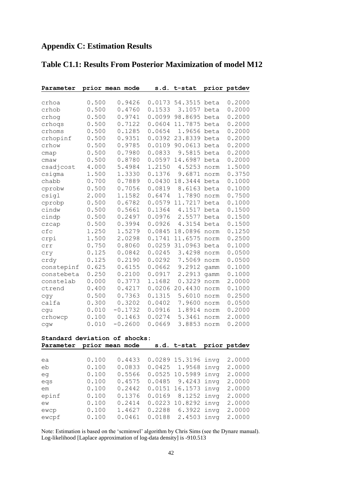| Parameter  |       | prior mean mode | s.d.   | t-stat  |      | prior pstdev |
|------------|-------|-----------------|--------|---------|------|--------------|
|            |       |                 |        |         |      |              |
| crhoa      | 0.500 | 0.9426          | 0.0173 | 54.3515 | beta | 0.2000       |
| crhob      | 0.500 | 0.4760          | 0.1533 | 3.1057  | beta | 0.2000       |
| crhog      | 0.500 | 0.9741          | 0.0099 | 98.8695 | beta | 0.2000       |
| crhoqs     | 0.500 | 0.7122          | 0.0604 | 11.7875 | beta | 0.2000       |
| crhoms     | 0.500 | 0.1285          | 0.0654 | 1.9656  | beta | 0.2000       |
| crhopinf   | 0.500 | 0.9351          | 0.0392 | 23.8339 | beta | 0.2000       |
| crhow      | 0.500 | 0.9785          | 0.0109 | 90.0613 | beta | 0.2000       |
| cmap       | 0.500 | 0.7980          | 0.0833 | 9.5815  | beta | 0.2000       |
| cmaw       | 0.500 | 0.8780          | 0.0597 | 14.6987 | beta | 0.2000       |
| csadjcost  | 4.000 | 5.4984          | 1.2150 | 4.5253  | norm | 1.5000       |
| csigma     | 1.500 | 1.3330          | 0.1376 | 9.6871  | norm | 0.3750       |
| chabb      | 0.700 | 0.7889          | 0.0430 | 18.3444 | beta | 0.1000       |
| cprobw     | 0.500 | 0.7056          | 0.0819 | 8.6163  | beta | 0.1000       |
| csigl      | 2.000 | 1.1582          | 0.6474 | 1.7890  | norm | 0.7500       |
| cprobp     | 0.500 | 0.6782          | 0.0579 | 11.7217 | beta | 0.1000       |
| cindw      | 0.500 | 0.5661          | 0.1364 | 4.1517  | beta | 0.1500       |
| cindp      | 0.500 | 0.2497          | 0.0976 | 2.5577  | beta | 0.1500       |
| czcap      | 0.500 | 0.3994          | 0.0926 | 4.3154  | beta | 0.1500       |
| cfc        | 1.250 | 1.5279          | 0.0845 | 18.0896 | norm | 0.1250       |
| crpi       | 1.500 | 2.0298          | 0.1741 | 11.6575 | norm | 0.2500       |
| crr        | 0.750 | 0.8060          | 0.0259 | 31.0963 | beta | 0.1000       |
| cry        | 0.125 | 0.0842          | 0.0245 | 3.4298  | norm | 0.0500       |
| crdy       | 0.125 | 0.2190          | 0.0292 | 7.5069  | norm | 0.0500       |
| constepinf | 0.625 | 0.6155          | 0.0662 | 9.2912  | qamm | 0.1000       |
| constebeta | 0.250 | 0.2100          | 0.0917 | 2.2913  | gamm | 0.1000       |
| constelab  | 0.000 | 0.3773          | 1.1682 | 0.3229  | norm | 2.0000       |
| ctrend     | 0.400 | 0.4217          | 0.0206 | 20.4430 | norm | 0.1000       |
| cgy        | 0.500 | 0.7363          | 0.1315 | 5.6010  | norm | 0.2500       |
| calfa      | 0.300 | 0.3202          | 0.0402 | 7.9600  | norm | 0.0500       |
| cgu        | 0.010 | $-0.1732$       | 0.0916 | 1.8914  | norm | 0.2000       |
| crhowcp    | 0.100 | 0.1463          | 0.0274 | 5.3461  | norm | 2.0000       |
| cgw        | 0.010 | $-0.2600$       | 0.0669 | 3.8853  | norm | 0.2000       |

### **Standard deviation of shocks:**

| Parameter prior mean mode |       |        | s.d. t-stat prior pstdev |        |
|---------------------------|-------|--------|--------------------------|--------|
|                           |       |        |                          |        |
| ea                        | 0.100 | 0.4433 | 0.0289 15.3196 invg      | 2.0000 |
| eb                        | 0.100 | 0.0833 | $0.0425$ 1.9568 invq     | 2.0000 |
| eq                        | 0.100 | 0.5566 | 0.0525 10.5989 invg      | 2.0000 |
| egs                       | 0.100 | 0.4575 | 0.0485 9.4243 invq       | 2.0000 |
| em                        | 0.100 | 0.2442 | 0.0151 16.1573 invg      | 2.0000 |
| epinf                     | 0.100 | 0.1376 | $0.0169$ 8.1252 invq     | 2.0000 |
| ew                        | 0.100 | 0.2414 | 0.0223 10.8292 invg      | 2.0000 |
| ewcp                      | 0.100 | 1.4627 | 0.2288 6.3922 invq       | 2.0000 |
| ewcpf                     | 0.100 | 0.0461 | 0.0188 2.4503 invg       | 2.0000 |

Note: Estimation is based on the 'scminwel' algorithm by Chris Sims (see the Dynare manual). Log-likelihood [Laplace approximation of log-data density] is -910.513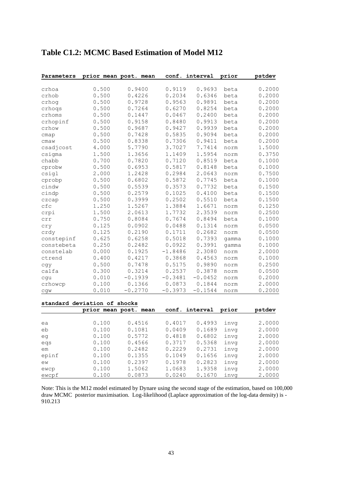| Parameters                   |       | prior mean post. mean | conf.     | interval       | prior | pstdev |
|------------------------------|-------|-----------------------|-----------|----------------|-------|--------|
|                              |       |                       |           |                |       |        |
| crhoa                        | 0.500 | 0.9400                | 0.9119    | 0.9693         | beta  | 0.2000 |
| crhob                        | 0.500 | 0.4226                | 0.2034    | 0.6346         | beta  | 0.2000 |
| crhog                        | 0.500 | 0.9728                | 0.9563    | 0.9891         | beta  | 0.2000 |
| crhoqs                       | 0.500 | 0.7264                | 0.6270    | 0.8254         | beta  | 0.2000 |
| crhoms                       | 0.500 | 0.1447                | 0.0467    | 0.2400         | beta  | 0.2000 |
| crhopinf                     | 0.500 | 0.9158                | 0.8480    | 0.9913         | beta  | 0.2000 |
| crhow                        | 0.500 | 0.9687                | 0.9427    | 0.9939         | beta  | 0.2000 |
| cmap                         | 0.500 | 0.7428                | 0.5835    | 0.9094         | beta  | 0.2000 |
| cmaw                         | 0.500 | 0.8338                | 0.7306    | 0.9411         | beta  | 0.2000 |
| csadjcost                    | 4.000 | 5.7790                | 3.7027    | 7.7414         | norm  | 1.5000 |
| csigma                       | 1.500 | 1.3656                | 1.1409    | 1.5954         | norm  | 0.3750 |
| chabb                        | 0.700 | 0.7820                | 0.7120    | 0.8519         | beta  | 0.1000 |
| cprobw                       | 0.500 | 0.6953                | 0.5817    | 0.8148         | beta  | 0.1000 |
| csigl                        | 2.000 | 1.2428                | 0.2984    | 2.0643         | norm  | 0.7500 |
| cprobp                       | 0.500 | 0.6802                | 0.5872    | 0.7745         | beta  | 0.1000 |
| cindw                        | 0.500 | 0.5539                | 0.3573    | 0.7732         | beta  | 0.1500 |
| cindp                        | 0.500 | 0.2579                | 0.1025    | 0.4100         | beta  | 0.1500 |
| czcap                        | 0.500 | 0.3999                | 0.2502    | 0.5510         | beta  | 0.1500 |
| cfc                          | 1.250 | 1.5267                | 1.3884    | 1.6671         | norm  | 0.1250 |
| crpi                         | 1.500 | 2.0613                | 1.7732    | 2.3539         | norm  | 0.2500 |
| crr                          | 0.750 | 0.8084                | 0.7674    | 0.8494         | beta  | 0.1000 |
| cry                          | 0.125 | 0.0902                | 0.0488    | 0.1314         | norm  | 0.0500 |
| crdy                         | 0.125 | 0.2190                | 0.1711    | 0.2682         | norm  | 0.0500 |
| constepinf                   | 0.625 | 0.6258                | 0.5018    | 0.7393         | qamma | 0.1000 |
| constebeta                   | 0.250 | 0.2482                | 0.0922    | 0.3991         | gamma | 0.1000 |
| constelab                    | 0.000 | 0.1925                | $-1.8486$ | 2.3080         | norm  | 2.0000 |
| ctrend                       | 0.400 | 0.4217                | 0.3868    | 0.4563         | norm  | 0.1000 |
| cgy                          | 0.500 | 0.7478                | 0.5175    | 0.9890         | norm  | 0.2500 |
| calfa                        | 0.300 | 0.3214                | 0.2537    | 0.3878         | norm  | 0.0500 |
| cgu                          | 0.010 | $-0.1939$             | $-0.3481$ | $-0.0452$      | norm  | 0.2000 |
| crhowcp                      | 0.100 | 0.1366                | 0.0873    | 0.1844         | norm  | 2.0000 |
| cgw                          | 0.010 | $-0.2770$             | $-0.3973$ | $-0.1544$      | norm  | 0.2000 |
|                              |       |                       |           |                |       |        |
| standard deviation of shocks |       |                       |           |                |       |        |
|                              |       | prior mean post. mean |           | conf. interval | prior | pstdev |
|                              | 0.100 | 0.4516                | 0.4017    |                |       |        |
| ea                           |       | 0.1081                | 0.0409    | 0.4993         | invq  | 2.0000 |
| eb                           | 0.100 |                       |           | 0.1689         | invg  | 2.0000 |
| eq                           | 0.100 | 0.5772                | 0.4818    | 0.6802         | invq  | 2.0000 |
| eqs                          | 0.100 | 0.4566                | 0.3717    | 0.5368         | invg  | 2.0000 |
| em                           | 0.100 | 0.2482                | 0.2229    | 0.2731         | invq  | 2.0000 |
| epinf                        | 0.100 | 0.1355                | 0.1049    | 0.1656         | invq  | 2.0000 |
| ew                           | 0.100 | 0.2397                | 0.1978    | 0.2823         | invq  | 2.0000 |

### **Table C1.2: MCMC Based Estimation of Model M12**

Note: This is the M12 model estimated by Dynare using the second stage of the estimation, based on 100,000 draw MCMC posterior maximisation. Log-likelihood (Laplace approximation of the log-data density) is - 910.213

ewcp 0.100 1.5062 1.0683 1.9358 invg 2.0000 ewcpf 0.100 0.0873 0.0240 0.1670 invg 2.0000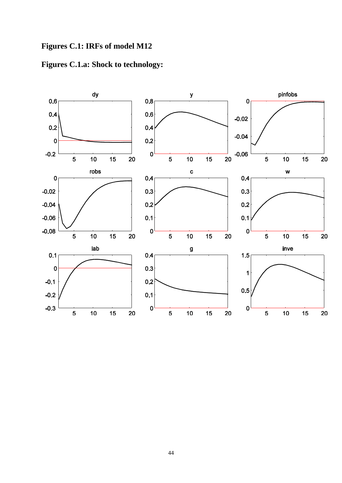



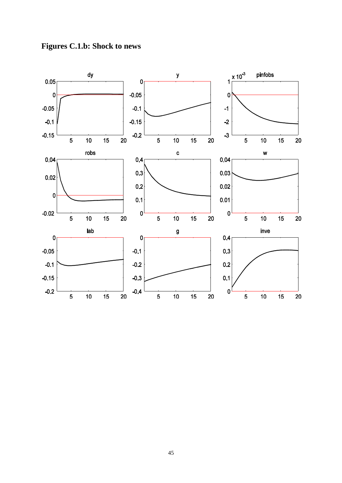

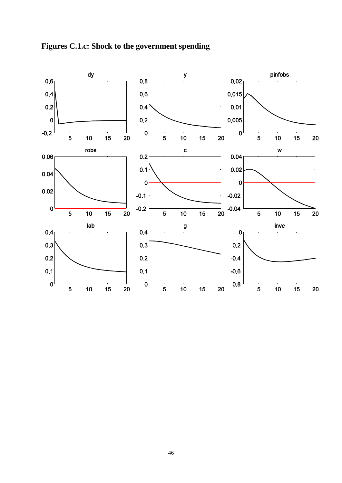

**Figures C.1.c: Shock to the government spending**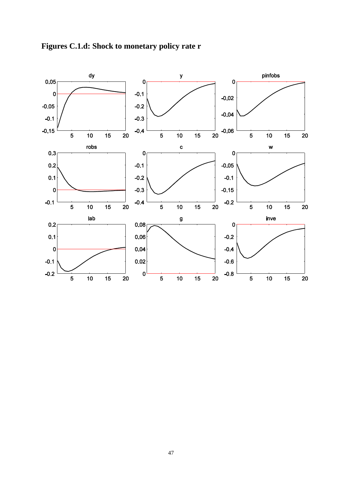

**Figures C.1.d: Shock to monetary policy rate r**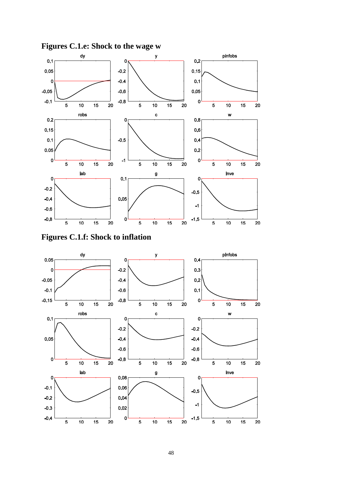

**Figures C.1.e: Shock to the wage w**

**Figures C.1.f: Shock to inflation**

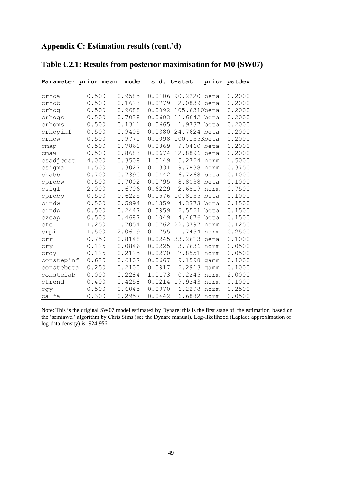### **Appendix C: Estimation results (cont.'d)**

| Parameter prior mean |       | mode   |        | s.d. t-stat  |      | prior pstdev |
|----------------------|-------|--------|--------|--------------|------|--------------|
|                      |       |        |        |              |      |              |
| crhoa                | 0.500 | 0.9585 | 0.0106 | 90.2220      | beta | 0.2000       |
| crhob                | 0.500 | 0.1623 | 0.0779 | 2.0839 beta  |      | 0.2000       |
| crhog                | 0.500 | 0.9688 | 0.0092 | 105.6310beta |      | 0.2000       |
| crhoqs               | 0.500 | 0.7038 | 0.0603 | 11.6642 beta |      | 0.2000       |
| crhoms               | 0.500 | 0.1311 | 0.0665 | 1.9737       | beta | 0.2000       |
| crhopinf             | 0.500 | 0.9405 | 0.0380 | 24.7624 beta |      | 0.2000       |
| crhow                | 0.500 | 0.9771 | 0.0098 | 100.1353beta |      | 0.2000       |
| cmap                 | 0.500 | 0.7861 | 0.0869 | 9.0460 beta  |      | 0.2000       |
| cmaw                 | 0.500 | 0.8683 | 0.0674 | 12.8896      | beta | 0.2000       |
| csadjcost            | 4.000 | 5.3508 | 1.0149 | 5.2724       | norm | 1.5000       |
| csigma               | 1.500 | 1.3027 | 0.1331 | 9.7838       | norm | 0.3750       |
| chabb                | 0.700 | 0.7390 | 0.0442 | 16.7268      | beta | 0.1000       |
| cprobw               | 0.500 | 0.7002 | 0.0795 | 8.8038       | beta | 0.1000       |
| csigl                | 2.000 | 1.6706 | 0.6229 | 2.6819       | norm | 0.7500       |
| cprobp               | 0.500 | 0.6225 | 0.0576 | 10.8135      | beta | 0.1000       |
| cindw                | 0.500 | 0.5894 | 0.1359 | 4.3373       | beta | 0.1500       |
| cindp                | 0.500 | 0.2447 | 0.0959 | 2.5521       | beta | 0.1500       |
| czcap                | 0.500 | 0.4687 | 0.1049 | 4.4676       | beta | 0.1500       |
| cfc                  | 1.250 | 1.7054 | 0.0762 | 22.3797      | norm | 0.1250       |
| crpi                 | 1.500 | 2.0619 | 0.1755 | 11.7454      | norm | 0.2500       |
| crr                  | 0.750 | 0.8148 | 0.0245 | 33.2613      | beta | 0.1000       |
| cry                  | 0.125 | 0.0846 | 0.0225 | 3.7636       | norm | 0.0500       |
| crdy                 | 0.125 | 0.2125 | 0.0270 | 7.8551       | norm | 0.0500       |
| constepinf           | 0.625 | 0.6107 | 0.0667 | 9.1598       | gamm | 0.1000       |
| constebeta           | 0.250 | 0.2100 | 0.0917 | 2.2913       | qamm | 0.1000       |
| constelab            | 0.000 | 0.2284 | 1.0173 | 0.2245       | norm | 2.0000       |
| ctrend               | 0.400 | 0.4258 | 0.0214 | 19.9343      | norm | 0.1000       |
| cqy                  | 0.500 | 0.6045 | 0.0970 | 6.2298       | norm | 0.2500       |
| calfa                | 0.300 | 0.2957 | 0.0442 | 6.6882       | norm | 0.0500       |

# **Table C2.1: Results from posterior maximisation for M0 (SW07)**

Note: This is the original SW07 model estimated by Dynare; this is the first stage of the estimation, based on the 'scminwel' algorithm by Chris Sims (see the Dynare manual). Log-likelihood (Laplace approximation of log-data density) is -924.956.